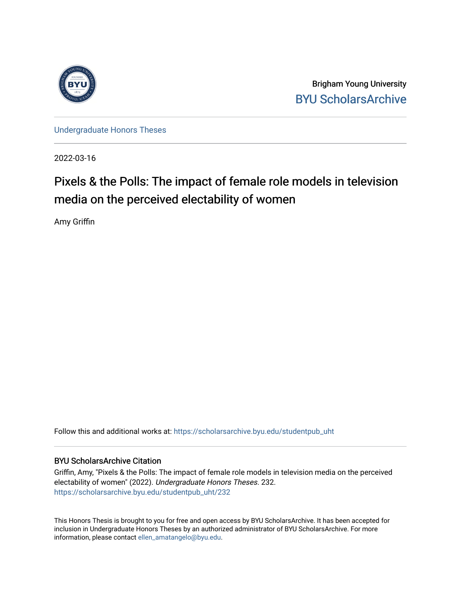

Brigham Young University [BYU ScholarsArchive](https://scholarsarchive.byu.edu/) 

[Undergraduate Honors Theses](https://scholarsarchive.byu.edu/studentpub_uht) 

2022-03-16

# Pixels & the Polls: The impact of female role models in television media on the perceived electability of women

Amy Griffin

Follow this and additional works at: [https://scholarsarchive.byu.edu/studentpub\\_uht](https://scholarsarchive.byu.edu/studentpub_uht?utm_source=scholarsarchive.byu.edu%2Fstudentpub_uht%2F232&utm_medium=PDF&utm_campaign=PDFCoverPages) 

#### BYU ScholarsArchive Citation

Griffin, Amy, "Pixels & the Polls: The impact of female role models in television media on the perceived electability of women" (2022). Undergraduate Honors Theses. 232. [https://scholarsarchive.byu.edu/studentpub\\_uht/232](https://scholarsarchive.byu.edu/studentpub_uht/232?utm_source=scholarsarchive.byu.edu%2Fstudentpub_uht%2F232&utm_medium=PDF&utm_campaign=PDFCoverPages)

This Honors Thesis is brought to you for free and open access by BYU ScholarsArchive. It has been accepted for inclusion in Undergraduate Honors Theses by an authorized administrator of BYU ScholarsArchive. For more information, please contact [ellen\\_amatangelo@byu.edu.](mailto:ellen_amatangelo@byu.edu)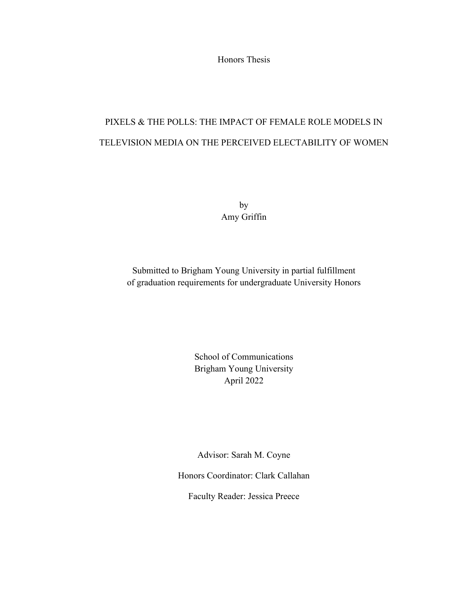Honors Thesis

# PIXELS & THE POLLS: THE IMPACT OF FEMALE ROLE MODELS IN TELEVISION MEDIA ON THE PERCEIVED ELECTABILITY OF WOMEN

by Amy Griffin

Submitted to Brigham Young University in partial fulfillment of graduation requirements for undergraduate University Honors

> School of Communications Brigham Young University April 2022

Advisor: Sarah M. Coyne

Honors Coordinator: Clark Callahan

Faculty Reader: Jessica Preece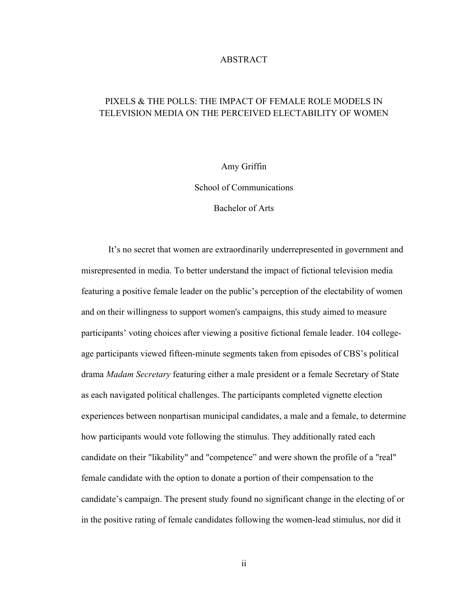#### ABSTRACT

### PIXELS & THE POLLS: THE IMPACT OF FEMALE ROLE MODELS IN TELEVISION MEDIA ON THE PERCEIVED ELECTABILITY OF WOMEN

#### Amy Griffin

School of Communications

Bachelor of Arts

It's no secret that women are extraordinarily underrepresented in government and misrepresented in media. To better understand the impact of fictional television media featuring a positive female leader on the public's perception of the electability of women and on their willingness to support women's campaigns, this study aimed to measure participants' voting choices after viewing a positive fictional female leader. 104 collegeage participants viewed fifteen-minute segments taken from episodes of CBS's political drama *Madam Secretary* featuring either a male president or a female Secretary of State as each navigated political challenges. The participants completed vignette election experiences between nonpartisan municipal candidates, a male and a female, to determine how participants would vote following the stimulus. They additionally rated each candidate on their "likability" and "competence" and were shown the profile of a "real" female candidate with the option to donate a portion of their compensation to the candidate's campaign. The present study found no significant change in the electing of or in the positive rating of female candidates following the women-lead stimulus, nor did it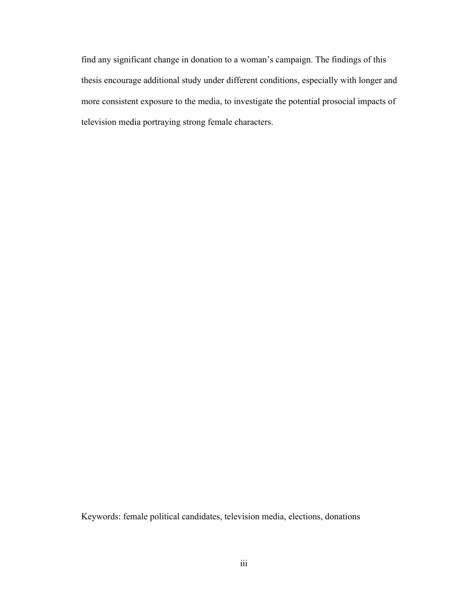find any significant change in donation to a woman's campaign. The findings of this thesis encourage additional study under different conditions, especially with longer and more consistent exposure to the media, to investigate the potential prosocial impacts of television media portraying strong female characters.

Keywords: female political candidates, television media, elections, donations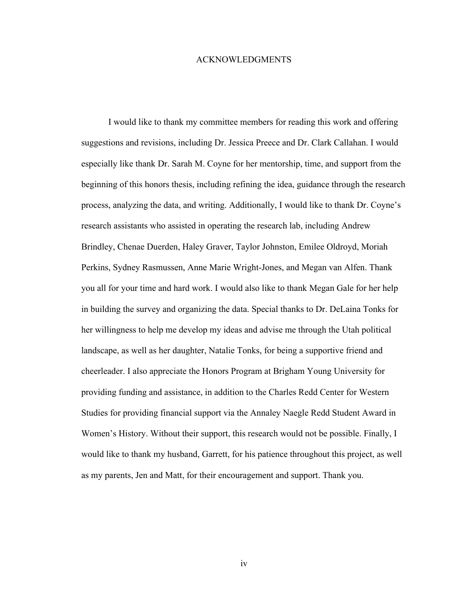#### ACKNOWLEDGMENTS

I would like to thank my committee members for reading this work and offering suggestions and revisions, including Dr. Jessica Preece and Dr. Clark Callahan. I would especially like thank Dr. Sarah M. Coyne for her mentorship, time, and support from the beginning of this honors thesis, including refining the idea, guidance through the research process, analyzing the data, and writing. Additionally, I would like to thank Dr. Coyne's research assistants who assisted in operating the research lab, including Andrew Brindley, Chenae Duerden, Haley Graver, Taylor Johnston, Emilee Oldroyd, Moriah Perkins, Sydney Rasmussen, Anne Marie Wright-Jones, and Megan van Alfen. Thank you all for your time and hard work. I would also like to thank Megan Gale for her help in building the survey and organizing the data. Special thanks to Dr. DeLaina Tonks for her willingness to help me develop my ideas and advise me through the Utah political landscape, as well as her daughter, Natalie Tonks, for being a supportive friend and cheerleader. I also appreciate the Honors Program at Brigham Young University for providing funding and assistance, in addition to the Charles Redd Center for Western Studies for providing financial support via the Annaley Naegle Redd Student Award in Women's History. Without their support, this research would not be possible. Finally, I would like to thank my husband, Garrett, for his patience throughout this project, as well as my parents, Jen and Matt, for their encouragement and support. Thank you.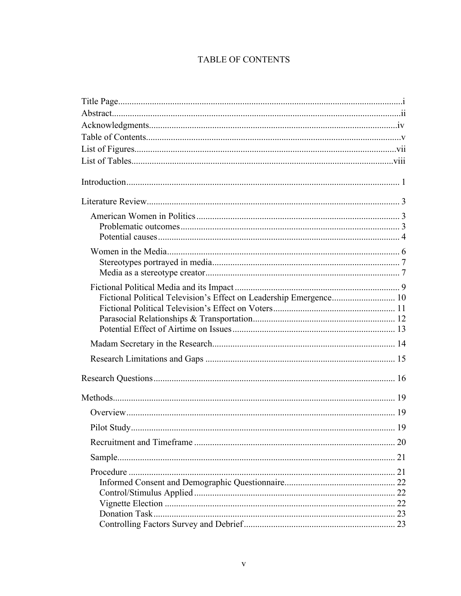## TABLE OF CONTENTS

| Fictional Political Television's Effect on Leadership Emergence 10 |  |
|--------------------------------------------------------------------|--|
|                                                                    |  |
|                                                                    |  |
|                                                                    |  |
|                                                                    |  |
|                                                                    |  |
|                                                                    |  |
|                                                                    |  |
|                                                                    |  |
|                                                                    |  |
|                                                                    |  |
|                                                                    |  |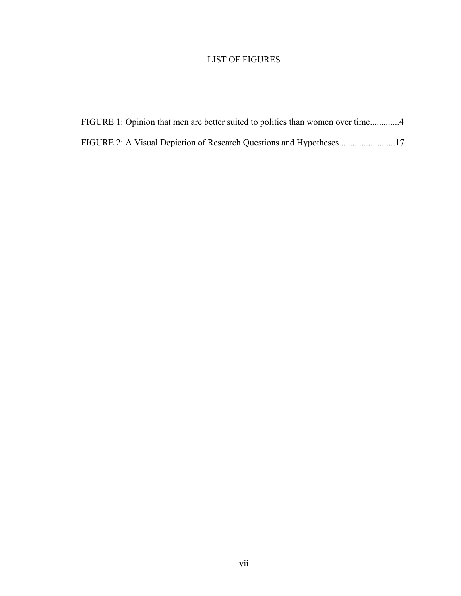### LIST OF FIGURES

| FIGURE 1: Opinion that men are better suited to politics than women over time4 |
|--------------------------------------------------------------------------------|
| FIGURE 2: A Visual Depiction of Research Questions and Hypotheses17            |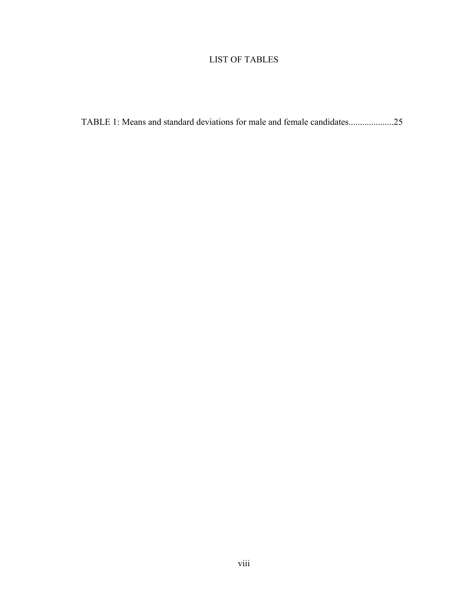### LIST OF TABLES

TABLE 1: Means and standard deviations for male and female candidates....................25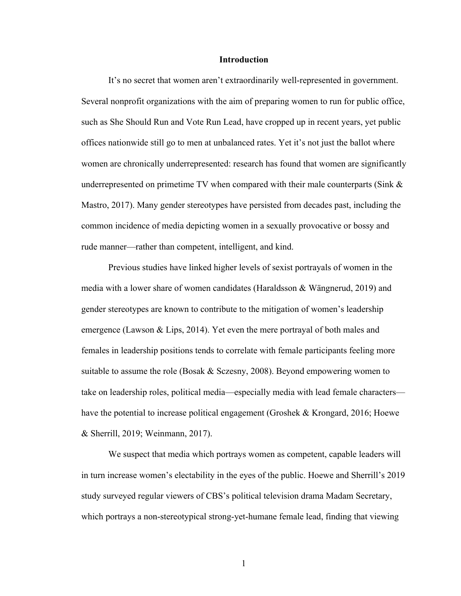#### **Introduction**

It's no secret that women aren't extraordinarily well-represented in government. Several nonprofit organizations with the aim of preparing women to run for public office, such as She Should Run and Vote Run Lead, have cropped up in recent years, yet public offices nationwide still go to men at unbalanced rates. Yet it's not just the ballot where women are chronically underrepresented: research has found that women are significantly underrepresented on primetime TV when compared with their male counterparts (Sink  $\&$ Mastro, 2017). Many gender stereotypes have persisted from decades past, including the common incidence of media depicting women in a sexually provocative or bossy and rude manner—rather than competent, intelligent, and kind.

Previous studies have linked higher levels of sexist portrayals of women in the media with a lower share of women candidates (Haraldsson & Wängnerud, 2019) and gender stereotypes are known to contribute to the mitigation of women's leadership emergence (Lawson & Lips, 2014). Yet even the mere portrayal of both males and females in leadership positions tends to correlate with female participants feeling more suitable to assume the role (Bosak & Sczesny, 2008). Beyond empowering women to take on leadership roles, political media—especially media with lead female characters have the potential to increase political engagement (Groshek & Krongard, 2016; Hoewe & Sherrill, 2019; Weinmann, 2017).

We suspect that media which portrays women as competent, capable leaders will in turn increase women's electability in the eyes of the public. Hoewe and Sherrill's 2019 study surveyed regular viewers of CBS's political television drama Madam Secretary, which portrays a non-stereotypical strong-yet-humane female lead, finding that viewing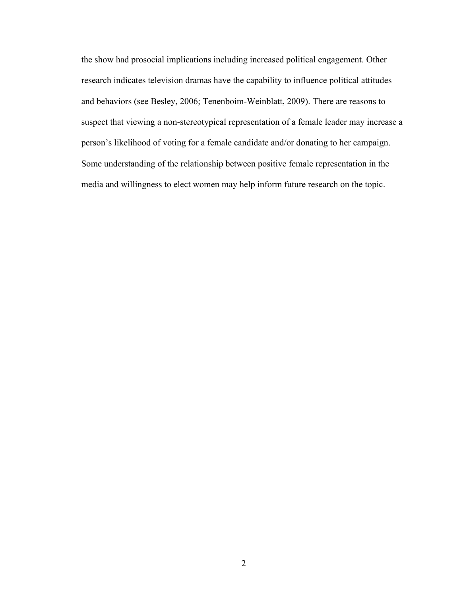the show had prosocial implications including increased political engagement. Other research indicates television dramas have the capability to influence political attitudes and behaviors (see Besley, 2006; Tenenboim-Weinblatt, 2009). There are reasons to suspect that viewing a non-stereotypical representation of a female leader may increase a person's likelihood of voting for a female candidate and/or donating to her campaign. Some understanding of the relationship between positive female representation in the media and willingness to elect women may help inform future research on the topic.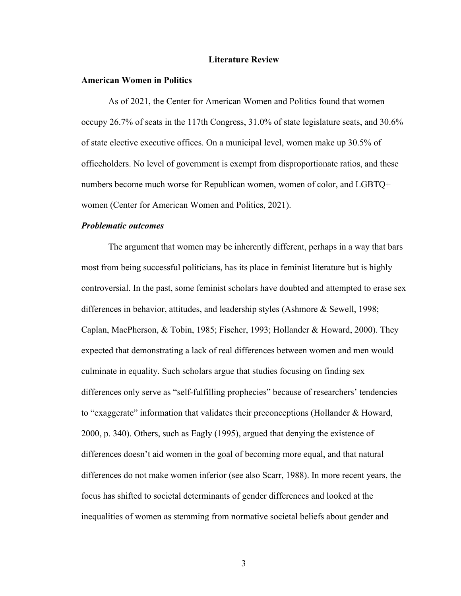#### **Literature Review**

#### **American Women in Politics**

As of 2021, the Center for American Women and Politics found that women occupy 26.7% of seats in the 117th Congress, 31.0% of state legislature seats, and 30.6% of state elective executive offices. On a municipal level, women make up 30.5% of officeholders. No level of government is exempt from disproportionate ratios, and these numbers become much worse for Republican women, women of color, and LGBTQ+ women (Center for American Women and Politics, 2021).

#### *Problematic outcomes*

The argument that women may be inherently different, perhaps in a way that bars most from being successful politicians, has its place in feminist literature but is highly controversial. In the past, some feminist scholars have doubted and attempted to erase sex differences in behavior, attitudes, and leadership styles (Ashmore & Sewell, 1998; Caplan, MacPherson, & Tobin, 1985; Fischer, 1993; Hollander & Howard, 2000). They expected that demonstrating a lack of real differences between women and men would culminate in equality. Such scholars argue that studies focusing on finding sex differences only serve as "self-fulfilling prophecies" because of researchers' tendencies to "exaggerate" information that validates their preconceptions (Hollander & Howard, 2000, p. 340). Others, such as Eagly (1995), argued that denying the existence of differences doesn't aid women in the goal of becoming more equal, and that natural differences do not make women inferior (see also Scarr, 1988). In more recent years, the focus has shifted to societal determinants of gender differences and looked at the inequalities of women as stemming from normative societal beliefs about gender and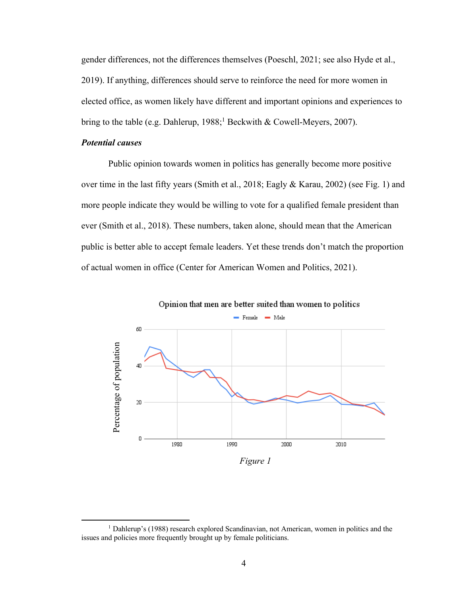gender differences, not the differences themselves (Poeschl, 2021; see also Hyde et al., 2019). If anything, differences should serve to reinforce the need for more women in elected office, as women likely have different and important opinions and experiences to bring to the table (e.g. Dahlerup,  $1988$ ;<sup>1</sup> Beckwith & Cowell-Meyers, 2007).

#### *Potential causes*

Public opinion towards women in politics has generally become more positive over time in the last fifty years (Smith et al., 2018; Eagly & Karau, 2002) (see Fig. 1) and more people indicate they would be willing to vote for a qualified female president than ever (Smith et al., 2018). These numbers, taken alone, should mean that the American public is better able to accept female leaders. Yet these trends don't match the proportion of actual women in office (Center for American Women and Politics, 2021).



Opinion that men are better suited than women to politics

*Figure 1*

<sup>1</sup> Dahlerup's (1988) research explored Scandinavian, not American, women in politics and the issues and policies more frequently brought up by female politicians.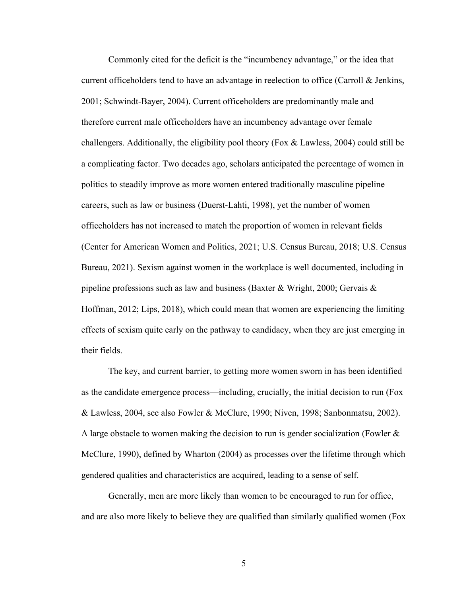Commonly cited for the deficit is the "incumbency advantage," or the idea that current officeholders tend to have an advantage in reelection to office (Carroll & Jenkins, 2001; Schwindt-Bayer, 2004). Current officeholders are predominantly male and therefore current male officeholders have an incumbency advantage over female challengers. Additionally, the eligibility pool theory (Fox  $\&$  Lawless, 2004) could still be a complicating factor. Two decades ago, scholars anticipated the percentage of women in politics to steadily improve as more women entered traditionally masculine pipeline careers, such as law or business (Duerst-Lahti, 1998), yet the number of women officeholders has not increased to match the proportion of women in relevant fields (Center for American Women and Politics, 2021; U.S. Census Bureau, 2018; U.S. Census Bureau, 2021). Sexism against women in the workplace is well documented, including in pipeline professions such as law and business (Baxter & Wright, 2000; Gervais & Hoffman, 2012; Lips, 2018), which could mean that women are experiencing the limiting effects of sexism quite early on the pathway to candidacy, when they are just emerging in their fields.

The key, and current barrier, to getting more women sworn in has been identified as the candidate emergence process—including, crucially, the initial decision to run (Fox & Lawless, 2004, see also Fowler & McClure, 1990; Niven, 1998; Sanbonmatsu, 2002). A large obstacle to women making the decision to run is gender socialization (Fowler  $\&$ McClure, 1990), defined by Wharton (2004) as processes over the lifetime through which gendered qualities and characteristics are acquired, leading to a sense of self.

Generally, men are more likely than women to be encouraged to run for office, and are also more likely to believe they are qualified than similarly qualified women (Fox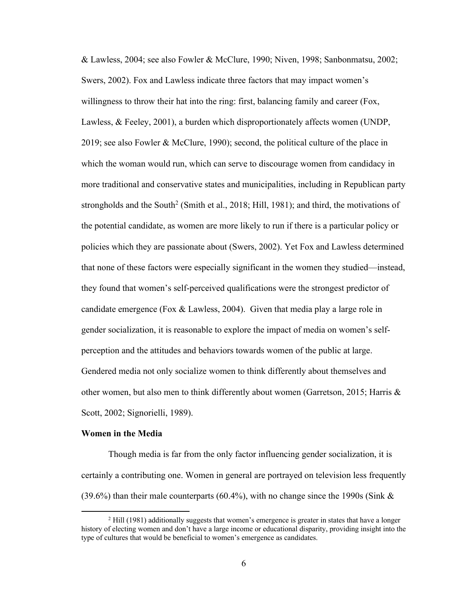& Lawless, 2004; see also Fowler & McClure, 1990; Niven, 1998; Sanbonmatsu, 2002; Swers, 2002). Fox and Lawless indicate three factors that may impact women's willingness to throw their hat into the ring: first, balancing family and career (Fox, Lawless, & Feeley, 2001), a burden which disproportionately affects women (UNDP, 2019; see also Fowler & McClure, 1990); second, the political culture of the place in which the woman would run, which can serve to discourage women from candidacy in more traditional and conservative states and municipalities, including in Republican party strongholds and the South<sup>2</sup> (Smith et al., 2018; Hill, 1981); and third, the motivations of the potential candidate, as women are more likely to run if there is a particular policy or policies which they are passionate about (Swers, 2002). Yet Fox and Lawless determined that none of these factors were especially significant in the women they studied—instead, they found that women's self-perceived qualifications were the strongest predictor of candidate emergence (Fox  $&$  Lawless, 2004). Given that media play a large role in gender socialization, it is reasonable to explore the impact of media on women's selfperception and the attitudes and behaviors towards women of the public at large. Gendered media not only socialize women to think differently about themselves and other women, but also men to think differently about women (Garretson, 2015; Harris & Scott, 2002; Signorielli, 1989).

#### **Women in the Media**

Though media is far from the only factor influencing gender socialization, it is certainly a contributing one. Women in general are portrayed on television less frequently (39.6%) than their male counterparts (60.4%), with no change since the 1990s (Sink  $\&$ 

<sup>&</sup>lt;sup>2</sup> Hill (1981) additionally suggests that women's emergence is greater in states that have a longer history of electing women and don't have a large income or educational disparity, providing insight into the type of cultures that would be beneficial to women's emergence as candidates.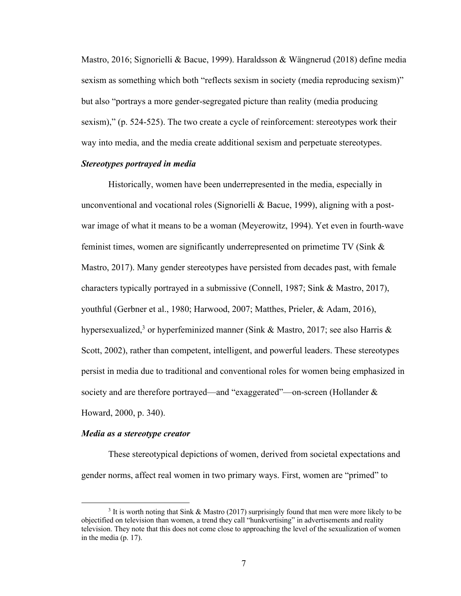Mastro, 2016; Signorielli & Bacue, 1999). Haraldsson & Wängnerud (2018) define media sexism as something which both "reflects sexism in society (media reproducing sexism)" but also "portrays a more gender-segregated picture than reality (media producing sexism)," (p. 524-525). The two create a cycle of reinforcement: stereotypes work their way into media, and the media create additional sexism and perpetuate stereotypes.

#### *Stereotypes portrayed in media*

Historically, women have been underrepresented in the media, especially in unconventional and vocational roles (Signorielli & Bacue, 1999), aligning with a postwar image of what it means to be a woman (Meyerowitz, 1994). Yet even in fourth-wave feminist times, women are significantly underrepresented on primetime TV (Sink & Mastro, 2017). Many gender stereotypes have persisted from decades past, with female characters typically portrayed in a submissive (Connell, 1987; Sink & Mastro, 2017), youthful (Gerbner et al., 1980; Harwood, 2007; Matthes, Prieler, & Adam, 2016), hypersexualized,<sup>3</sup> or hyperfeminized manner (Sink & Mastro, 2017; see also Harris & Scott, 2002), rather than competent, intelligent, and powerful leaders. These stereotypes persist in media due to traditional and conventional roles for women being emphasized in society and are therefore portrayed—and "exaggerated"—on-screen (Hollander & Howard, 2000, p. 340).

#### *Media as a stereotype creator*

These stereotypical depictions of women, derived from societal expectations and gender norms, affect real women in two primary ways. First, women are "primed" to

<sup>&</sup>lt;sup>3</sup> It is worth noting that Sink & Mastro (2017) surprisingly found that men were more likely to be objectified on television than women, a trend they call "hunkvertising" in advertisements and reality television. They note that this does not come close to approaching the level of the sexualization of women in the media (p. 17).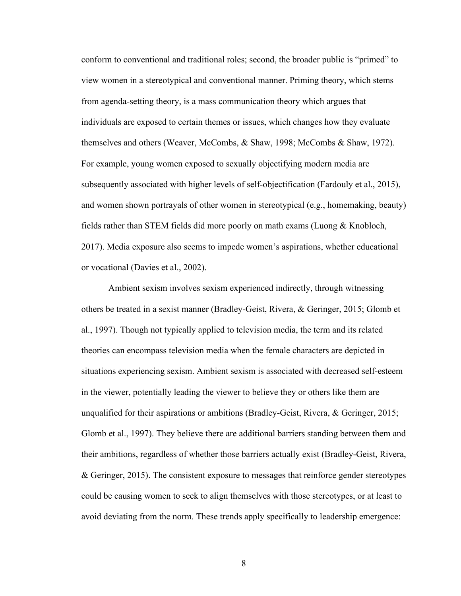conform to conventional and traditional roles; second, the broader public is "primed" to view women in a stereotypical and conventional manner. Priming theory, which stems from agenda-setting theory, is a mass communication theory which argues that individuals are exposed to certain themes or issues, which changes how they evaluate themselves and others (Weaver, McCombs, & Shaw, 1998; McCombs & Shaw, 1972). For example, young women exposed to sexually objectifying modern media are subsequently associated with higher levels of self-objectification (Fardouly et al., 2015), and women shown portrayals of other women in stereotypical (e.g., homemaking, beauty) fields rather than STEM fields did more poorly on math exams (Luong & Knobloch, 2017). Media exposure also seems to impede women's aspirations, whether educational or vocational (Davies et al., 2002).

Ambient sexism involves sexism experienced indirectly, through witnessing others be treated in a sexist manner (Bradley-Geist, Rivera, & Geringer, 2015; Glomb et al., 1997). Though not typically applied to television media, the term and its related theories can encompass television media when the female characters are depicted in situations experiencing sexism. Ambient sexism is associated with decreased self-esteem in the viewer, potentially leading the viewer to believe they or others like them are unqualified for their aspirations or ambitions (Bradley-Geist, Rivera, & Geringer, 2015; Glomb et al., 1997). They believe there are additional barriers standing between them and their ambitions, regardless of whether those barriers actually exist (Bradley-Geist, Rivera, & Geringer, 2015). The consistent exposure to messages that reinforce gender stereotypes could be causing women to seek to align themselves with those stereotypes, or at least to avoid deviating from the norm. These trends apply specifically to leadership emergence: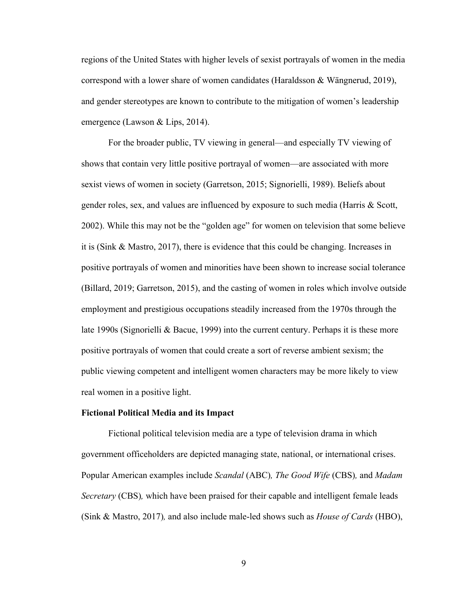regions of the United States with higher levels of sexist portrayals of women in the media correspond with a lower share of women candidates (Haraldsson & Wängnerud, 2019), and gender stereotypes are known to contribute to the mitigation of women's leadership emergence (Lawson & Lips, 2014).

For the broader public, TV viewing in general—and especially TV viewing of shows that contain very little positive portrayal of women—are associated with more sexist views of women in society (Garretson, 2015; Signorielli, 1989). Beliefs about gender roles, sex, and values are influenced by exposure to such media (Harris & Scott, 2002). While this may not be the "golden age" for women on television that some believe it is (Sink & Mastro, 2017), there is evidence that this could be changing. Increases in positive portrayals of women and minorities have been shown to increase social tolerance (Billard, 2019; Garretson, 2015), and the casting of women in roles which involve outside employment and prestigious occupations steadily increased from the 1970s through the late 1990s (Signorielli & Bacue, 1999) into the current century. Perhaps it is these more positive portrayals of women that could create a sort of reverse ambient sexism; the public viewing competent and intelligent women characters may be more likely to view real women in a positive light.

#### **Fictional Political Media and its Impact**

Fictional political television media are a type of television drama in which government officeholders are depicted managing state, national, or international crises. Popular American examples include *Scandal* (ABC)*, The Good Wife* (CBS)*,* and *Madam Secretary* (CBS)*,* which have been praised for their capable and intelligent female leads (Sink & Mastro, 2017)*,* and also include male-led shows such as *House of Cards* (HBO),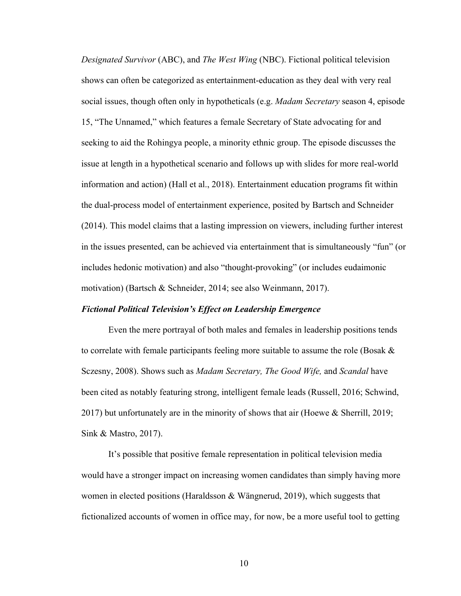*Designated Survivor* (ABC), and *The West Wing* (NBC). Fictional political television shows can often be categorized as entertainment-education as they deal with very real social issues, though often only in hypotheticals (e.g. *Madam Secretary* season 4, episode 15, "The Unnamed," which features a female Secretary of State advocating for and seeking to aid the Rohingya people, a minority ethnic group. The episode discusses the issue at length in a hypothetical scenario and follows up with slides for more real-world information and action) (Hall et al., 2018). Entertainment education programs fit within the dual-process model of entertainment experience, posited by Bartsch and Schneider (2014). This model claims that a lasting impression on viewers, including further interest in the issues presented, can be achieved via entertainment that is simultaneously "fun" (or includes hedonic motivation) and also "thought-provoking" (or includes eudaimonic motivation) (Bartsch & Schneider, 2014; see also Weinmann, 2017).

#### *Fictional Political Television's Effect on Leadership Emergence*

Even the mere portrayal of both males and females in leadership positions tends to correlate with female participants feeling more suitable to assume the role (Bosak  $\&$ Sczesny, 2008). Shows such as *Madam Secretary, The Good Wife,* and *Scandal* have been cited as notably featuring strong, intelligent female leads (Russell, 2016; Schwind, 2017) but unfortunately are in the minority of shows that air (Hoewe & Sherrill, 2019; Sink & Mastro, 2017).

It's possible that positive female representation in political television media would have a stronger impact on increasing women candidates than simply having more women in elected positions (Haraldsson & Wängnerud, 2019), which suggests that fictionalized accounts of women in office may, for now, be a more useful tool to getting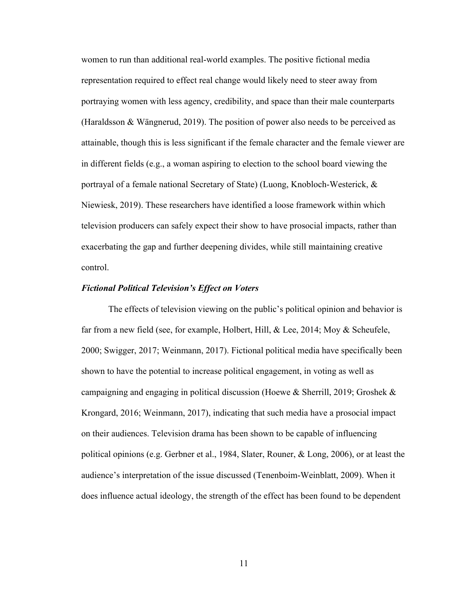women to run than additional real-world examples. The positive fictional media representation required to effect real change would likely need to steer away from portraying women with less agency, credibility, and space than their male counterparts (Haraldsson & Wängnerud, 2019). The position of power also needs to be perceived as attainable, though this is less significant if the female character and the female viewer are in different fields (e.g., a woman aspiring to election to the school board viewing the portrayal of a female national Secretary of State) (Luong, Knobloch-Westerick, & Niewiesk, 2019). These researchers have identified a loose framework within which television producers can safely expect their show to have prosocial impacts, rather than exacerbating the gap and further deepening divides, while still maintaining creative control.

#### *Fictional Political Television's Effect on Voters*

The effects of television viewing on the public's political opinion and behavior is far from a new field (see, for example, Holbert, Hill, & Lee, 2014; Moy & Scheufele, 2000; Swigger, 2017; Weinmann, 2017). Fictional political media have specifically been shown to have the potential to increase political engagement, in voting as well as campaigning and engaging in political discussion (Hoewe & Sherrill, 2019; Groshek & Krongard, 2016; Weinmann, 2017), indicating that such media have a prosocial impact on their audiences. Television drama has been shown to be capable of influencing political opinions (e.g. Gerbner et al., 1984, Slater, Rouner, & Long, 2006), or at least the audience's interpretation of the issue discussed (Tenenboim-Weinblatt, 2009). When it does influence actual ideology, the strength of the effect has been found to be dependent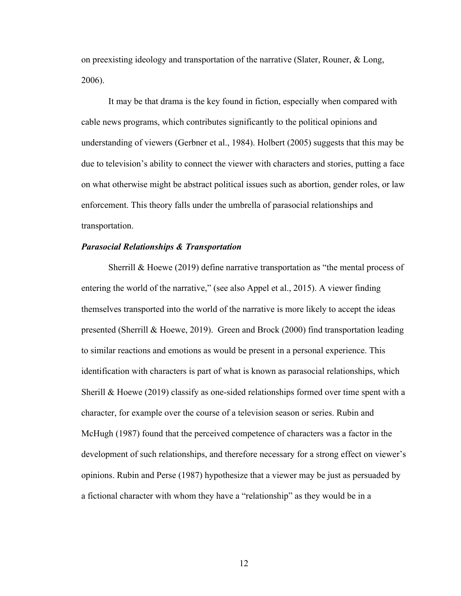on preexisting ideology and transportation of the narrative (Slater, Rouner, & Long, 2006).

It may be that drama is the key found in fiction, especially when compared with cable news programs, which contributes significantly to the political opinions and understanding of viewers (Gerbner et al., 1984). Holbert (2005) suggests that this may be due to television's ability to connect the viewer with characters and stories, putting a face on what otherwise might be abstract political issues such as abortion, gender roles, or law enforcement. This theory falls under the umbrella of parasocial relationships and transportation.

#### *Parasocial Relationships & Transportation*

Sherrill & Hoewe (2019) define narrative transportation as "the mental process of entering the world of the narrative," (see also Appel et al., 2015). A viewer finding themselves transported into the world of the narrative is more likely to accept the ideas presented (Sherrill & Hoewe, 2019). Green and Brock (2000) find transportation leading to similar reactions and emotions as would be present in a personal experience. This identification with characters is part of what is known as parasocial relationships, which Sherill & Hoewe (2019) classify as one-sided relationships formed over time spent with a character, for example over the course of a television season or series. Rubin and McHugh (1987) found that the perceived competence of characters was a factor in the development of such relationships, and therefore necessary for a strong effect on viewer's opinions. Rubin and Perse (1987) hypothesize that a viewer may be just as persuaded by a fictional character with whom they have a "relationship" as they would be in a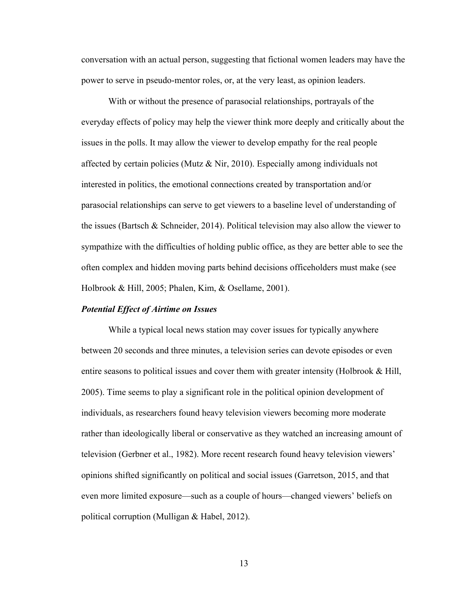conversation with an actual person, suggesting that fictional women leaders may have the power to serve in pseudo-mentor roles, or, at the very least, as opinion leaders.

With or without the presence of parasocial relationships, portrayals of the everyday effects of policy may help the viewer think more deeply and critically about the issues in the polls. It may allow the viewer to develop empathy for the real people affected by certain policies (Mutz  $&$  Nir, 2010). Especially among individuals not interested in politics, the emotional connections created by transportation and/or parasocial relationships can serve to get viewers to a baseline level of understanding of the issues (Bartsch & Schneider, 2014). Political television may also allow the viewer to sympathize with the difficulties of holding public office, as they are better able to see the often complex and hidden moving parts behind decisions officeholders must make (see Holbrook & Hill, 2005; Phalen, Kim, & Osellame, 2001).

#### *Potential Effect of Airtime on Issues*

While a typical local news station may cover issues for typically anywhere between 20 seconds and three minutes, a television series can devote episodes or even entire seasons to political issues and cover them with greater intensity (Holbrook & Hill, 2005). Time seems to play a significant role in the political opinion development of individuals, as researchers found heavy television viewers becoming more moderate rather than ideologically liberal or conservative as they watched an increasing amount of television (Gerbner et al., 1982). More recent research found heavy television viewers' opinions shifted significantly on political and social issues (Garretson, 2015, and that even more limited exposure—such as a couple of hours—changed viewers' beliefs on political corruption (Mulligan & Habel, 2012).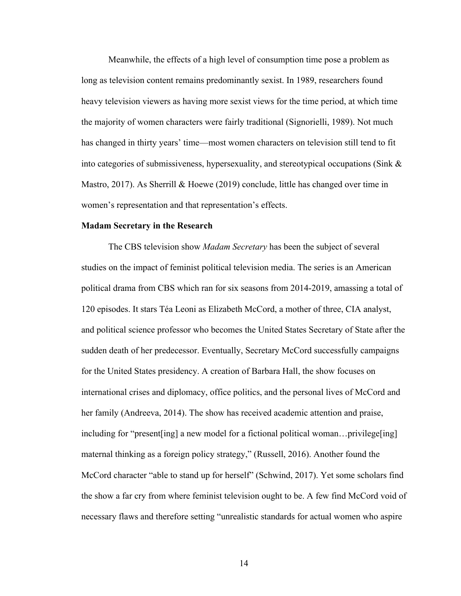Meanwhile, the effects of a high level of consumption time pose a problem as long as television content remains predominantly sexist. In 1989, researchers found heavy television viewers as having more sexist views for the time period, at which time the majority of women characters were fairly traditional (Signorielli, 1989). Not much has changed in thirty years' time—most women characters on television still tend to fit into categories of submissiveness, hypersexuality, and stereotypical occupations (Sink & Mastro, 2017). As Sherrill & Hoewe (2019) conclude, little has changed over time in women's representation and that representation's effects.

#### **Madam Secretary in the Research**

The CBS television show *Madam Secretary* has been the subject of several studies on the impact of feminist political television media. The series is an American political drama from CBS which ran for six seasons from 2014-2019, amassing a total of 120 episodes. It stars Téa Leoni as Elizabeth McCord, a mother of three, CIA analyst, and political science professor who becomes the United States Secretary of State after the sudden death of her predecessor. Eventually, Secretary McCord successfully campaigns for the United States presidency. A creation of Barbara Hall, the show focuses on international crises and diplomacy, office politics, and the personal lives of McCord and her family (Andreeva, 2014). The show has received academic attention and praise, including for "present[ing] a new model for a fictional political woman…privilege[ing] maternal thinking as a foreign policy strategy," (Russell, 2016). Another found the McCord character "able to stand up for herself" (Schwind, 2017). Yet some scholars find the show a far cry from where feminist television ought to be. A few find McCord void of necessary flaws and therefore setting "unrealistic standards for actual women who aspire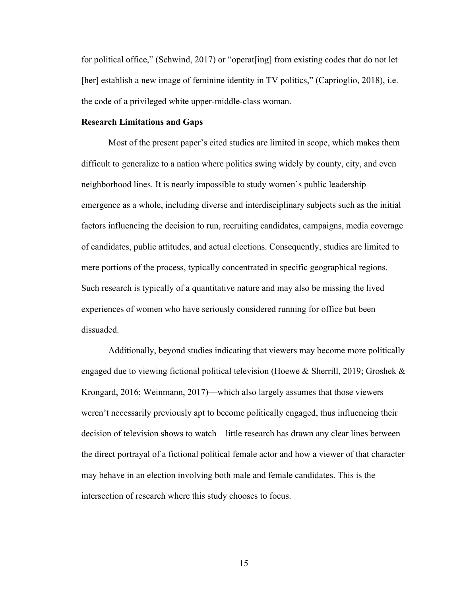for political office," (Schwind, 2017) or "operat[ing] from existing codes that do not let [her] establish a new image of feminine identity in TV politics," (Caprioglio, 2018), i.e. the code of a privileged white upper-middle-class woman.

#### **Research Limitations and Gaps**

Most of the present paper's cited studies are limited in scope, which makes them difficult to generalize to a nation where politics swing widely by county, city, and even neighborhood lines. It is nearly impossible to study women's public leadership emergence as a whole, including diverse and interdisciplinary subjects such as the initial factors influencing the decision to run, recruiting candidates, campaigns, media coverage of candidates, public attitudes, and actual elections. Consequently, studies are limited to mere portions of the process, typically concentrated in specific geographical regions. Such research is typically of a quantitative nature and may also be missing the lived experiences of women who have seriously considered running for office but been dissuaded.

Additionally, beyond studies indicating that viewers may become more politically engaged due to viewing fictional political television (Hoewe & Sherrill, 2019; Groshek & Krongard, 2016; Weinmann, 2017)—which also largely assumes that those viewers weren't necessarily previously apt to become politically engaged, thus influencing their decision of television shows to watch—little research has drawn any clear lines between the direct portrayal of a fictional political female actor and how a viewer of that character may behave in an election involving both male and female candidates. This is the intersection of research where this study chooses to focus.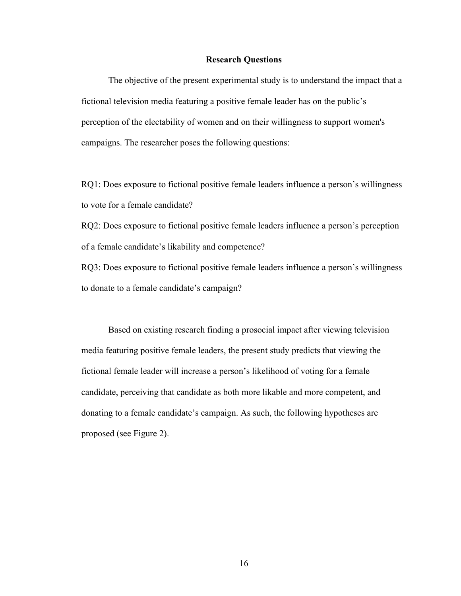#### **Research Questions**

The objective of the present experimental study is to understand the impact that a fictional television media featuring a positive female leader has on the public's perception of the electability of women and on their willingness to support women's campaigns. The researcher poses the following questions:

RQ1: Does exposure to fictional positive female leaders influence a person's willingness to vote for a female candidate?

RQ2: Does exposure to fictional positive female leaders influence a person's perception of a female candidate's likability and competence?

RQ3: Does exposure to fictional positive female leaders influence a person's willingness to donate to a female candidate's campaign?

Based on existing research finding a prosocial impact after viewing television media featuring positive female leaders, the present study predicts that viewing the fictional female leader will increase a person's likelihood of voting for a female candidate, perceiving that candidate as both more likable and more competent, and donating to a female candidate's campaign. As such, the following hypotheses are proposed (see Figure 2).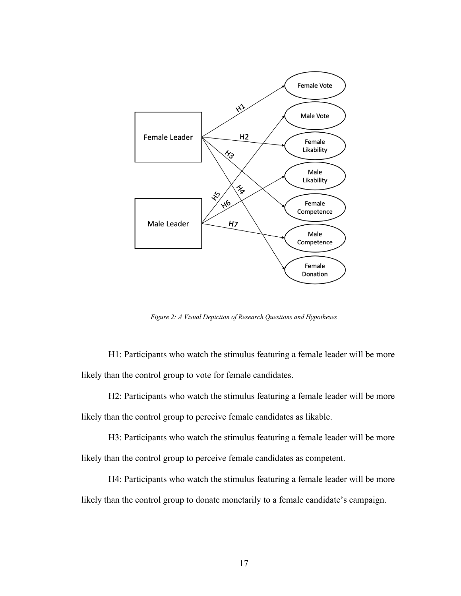

*Figure 2: A Visual Depiction of Research Questions and Hypotheses*

H1: Participants who watch the stimulus featuring a female leader will be more likely than the control group to vote for female candidates.

H2: Participants who watch the stimulus featuring a female leader will be more likely than the control group to perceive female candidates as likable.

H3: Participants who watch the stimulus featuring a female leader will be more likely than the control group to perceive female candidates as competent.

H4: Participants who watch the stimulus featuring a female leader will be more likely than the control group to donate monetarily to a female candidate's campaign.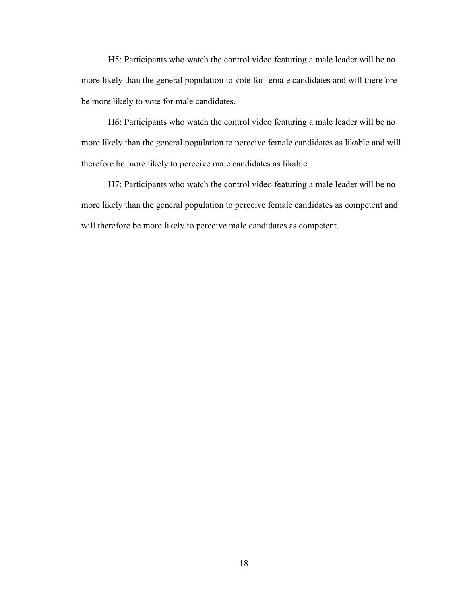H5: Participants who watch the control video featuring a male leader will be no more likely than the general population to vote for female candidates and will therefore be more likely to vote for male candidates.

H6: Participants who watch the control video featuring a male leader will be no more likely than the general population to perceive female candidates as likable and will therefore be more likely to perceive male candidates as likable.

H7: Participants who watch the control video featuring a male leader will be no more likely than the general population to perceive female candidates as competent and will therefore be more likely to perceive male candidates as competent.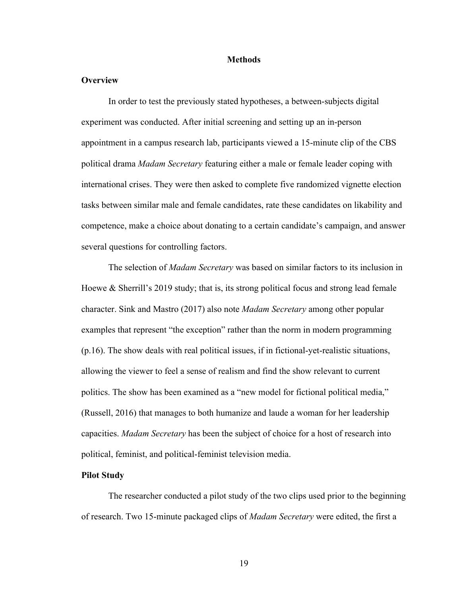#### **Methods**

#### **Overview**

In order to test the previously stated hypotheses, a between-subjects digital experiment was conducted. After initial screening and setting up an in-person appointment in a campus research lab, participants viewed a 15-minute clip of the CBS political drama *Madam Secretary* featuring either a male or female leader coping with international crises. They were then asked to complete five randomized vignette election tasks between similar male and female candidates, rate these candidates on likability and competence, make a choice about donating to a certain candidate's campaign, and answer several questions for controlling factors.

The selection of *Madam Secretary* was based on similar factors to its inclusion in Hoewe & Sherrill's 2019 study; that is, its strong political focus and strong lead female character. Sink and Mastro (2017) also note *Madam Secretary* among other popular examples that represent "the exception" rather than the norm in modern programming (p.16). The show deals with real political issues, if in fictional-yet-realistic situations, allowing the viewer to feel a sense of realism and find the show relevant to current politics. The show has been examined as a "new model for fictional political media," (Russell, 2016) that manages to both humanize and laude a woman for her leadership capacities. *Madam Secretary* has been the subject of choice for a host of research into political, feminist, and political-feminist television media.

#### **Pilot Study**

The researcher conducted a pilot study of the two clips used prior to the beginning of research. Two 15-minute packaged clips of *Madam Secretary* were edited, the first a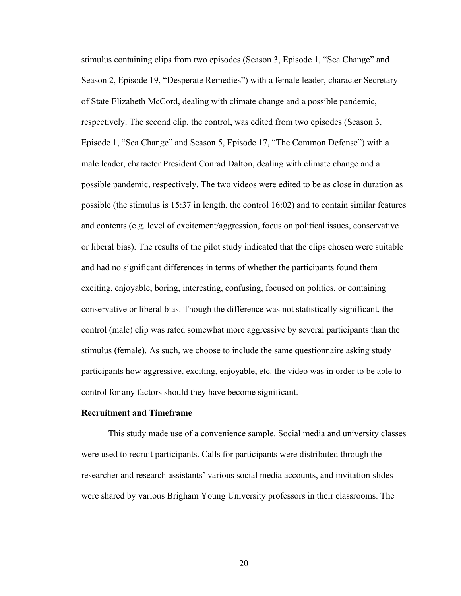stimulus containing clips from two episodes (Season 3, Episode 1, "Sea Change" and Season 2, Episode 19, "Desperate Remedies") with a female leader, character Secretary of State Elizabeth McCord, dealing with climate change and a possible pandemic, respectively. The second clip, the control, was edited from two episodes (Season 3, Episode 1, "Sea Change" and Season 5, Episode 17, "The Common Defense") with a male leader, character President Conrad Dalton, dealing with climate change and a possible pandemic, respectively. The two videos were edited to be as close in duration as possible (the stimulus is 15:37 in length, the control 16:02) and to contain similar features and contents (e.g. level of excitement/aggression, focus on political issues, conservative or liberal bias). The results of the pilot study indicated that the clips chosen were suitable and had no significant differences in terms of whether the participants found them exciting, enjoyable, boring, interesting, confusing, focused on politics, or containing conservative or liberal bias. Though the difference was not statistically significant, the control (male) clip was rated somewhat more aggressive by several participants than the stimulus (female). As such, we choose to include the same questionnaire asking study participants how aggressive, exciting, enjoyable, etc. the video was in order to be able to control for any factors should they have become significant.

#### **Recruitment and Timeframe**

This study made use of a convenience sample. Social media and university classes were used to recruit participants. Calls for participants were distributed through the researcher and research assistants' various social media accounts, and invitation slides were shared by various Brigham Young University professors in their classrooms. The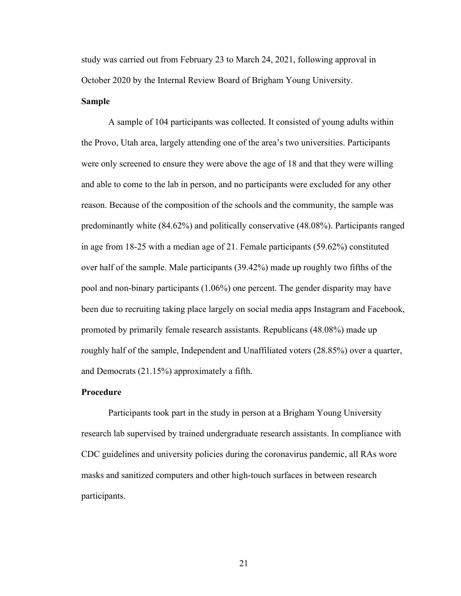study was carried out from February 23 to March 24, 2021, following approval in October 2020 by the Internal Review Board of Brigham Young University.

#### **Sample**

A sample of 104 participants was collected. It consisted of young adults within the Provo, Utah area, largely attending one of the area's two universities. Participants were only screened to ensure they were above the age of 18 and that they were willing and able to come to the lab in person, and no participants were excluded for any other reason. Because of the composition of the schools and the community, the sample was predominantly white (84.62%) and politically conservative (48.08%). Participants ranged in age from 18-25 with a median age of 21. Female participants (59.62%) constituted over half of the sample. Male participants (39.42%) made up roughly two fifths of the pool and non-binary participants (1.06%) one percent. The gender disparity may have been due to recruiting taking place largely on social media apps Instagram and Facebook, promoted by primarily female research assistants. Republicans (48.08%) made up roughly half of the sample, Independent and Unaffiliated voters (28.85%) over a quarter, and Democrats (21.15%) approximately a fifth.

#### **Procedure**

Participants took part in the study in person at a Brigham Young University research lab supervised by trained undergraduate research assistants. In compliance with CDC guidelines and university policies during the coronavirus pandemic, all RAs wore masks and sanitized computers and other high-touch surfaces in between research participants.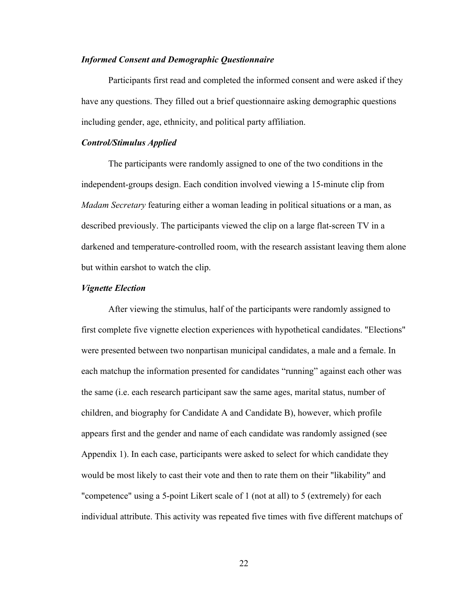#### *Informed Consent and Demographic Questionnaire*

Participants first read and completed the informed consent and were asked if they have any questions. They filled out a brief questionnaire asking demographic questions including gender, age, ethnicity, and political party affiliation.

#### *Control/Stimulus Applied*

The participants were randomly assigned to one of the two conditions in the independent-groups design. Each condition involved viewing a 15-minute clip from *Madam Secretary* featuring either a woman leading in political situations or a man, as described previously. The participants viewed the clip on a large flat-screen TV in a darkened and temperature-controlled room, with the research assistant leaving them alone but within earshot to watch the clip.

#### *Vignette Election*

After viewing the stimulus, half of the participants were randomly assigned to first complete five vignette election experiences with hypothetical candidates. "Elections" were presented between two nonpartisan municipal candidates, a male and a female. In each matchup the information presented for candidates "running" against each other was the same (i.e. each research participant saw the same ages, marital status, number of children, and biography for Candidate A and Candidate B), however, which profile appears first and the gender and name of each candidate was randomly assigned (see Appendix 1). In each case, participants were asked to select for which candidate they would be most likely to cast their vote and then to rate them on their "likability" and "competence" using a 5-point Likert scale of 1 (not at all) to 5 (extremely) for each individual attribute. This activity was repeated five times with five different matchups of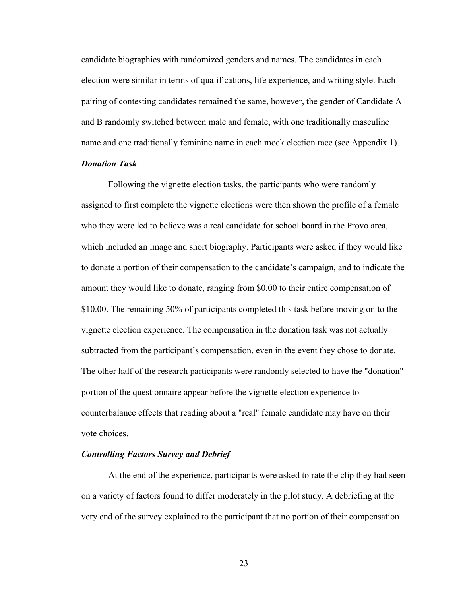candidate biographies with randomized genders and names. The candidates in each election were similar in terms of qualifications, life experience, and writing style. Each pairing of contesting candidates remained the same, however, the gender of Candidate A and B randomly switched between male and female, with one traditionally masculine name and one traditionally feminine name in each mock election race (see Appendix 1).

#### *Donation Task*

Following the vignette election tasks, the participants who were randomly assigned to first complete the vignette elections were then shown the profile of a female who they were led to believe was a real candidate for school board in the Provo area, which included an image and short biography. Participants were asked if they would like to donate a portion of their compensation to the candidate's campaign, and to indicate the amount they would like to donate, ranging from \$0.00 to their entire compensation of \$10.00. The remaining 50% of participants completed this task before moving on to the vignette election experience. The compensation in the donation task was not actually subtracted from the participant's compensation, even in the event they chose to donate. The other half of the research participants were randomly selected to have the "donation" portion of the questionnaire appear before the vignette election experience to counterbalance effects that reading about a "real" female candidate may have on their vote choices.

#### *Controlling Factors Survey and Debrief*

At the end of the experience, participants were asked to rate the clip they had seen on a variety of factors found to differ moderately in the pilot study. A debriefing at the very end of the survey explained to the participant that no portion of their compensation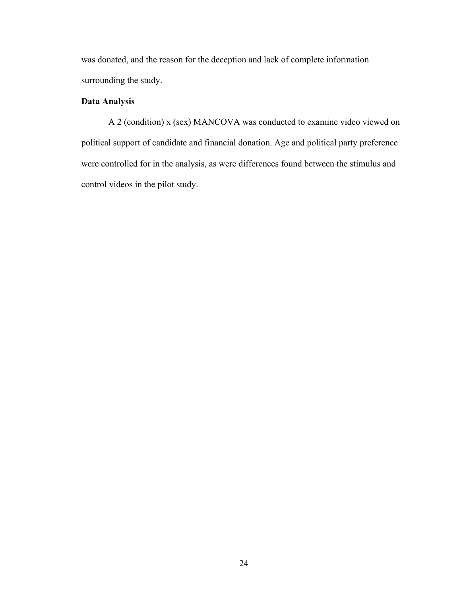was donated, and the reason for the deception and lack of complete information surrounding the study.

### **Data Analysis**

A 2 (condition) x (sex) MANCOVA was conducted to examine video viewed on political support of candidate and financial donation. Age and political party preference were controlled for in the analysis, as were differences found between the stimulus and control videos in the pilot study.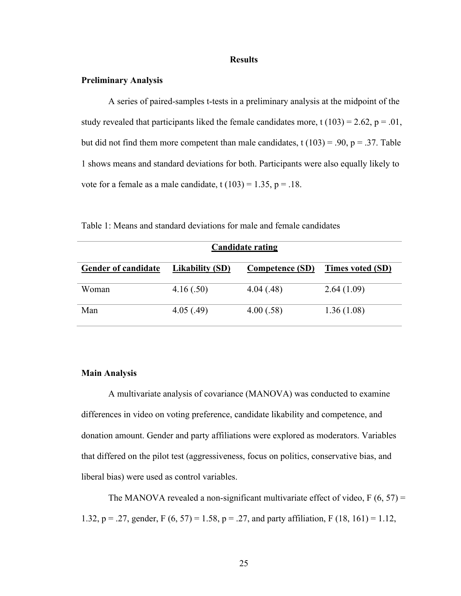#### **Results**

#### **Preliminary Analysis**

A series of paired-samples t-tests in a preliminary analysis at the midpoint of the study revealed that participants liked the female candidates more, t  $(103) = 2.62$ ,  $p = .01$ , but did not find them more competent than male candidates, t  $(103) = .90$ , p = .37. Table 1 shows means and standard deviations for both. Participants were also equally likely to vote for a female as a male candidate,  $t(103) = 1.35$ ,  $p = .18$ .

| <b>Candidate rating</b>    |                        |                        |                         |  |  |
|----------------------------|------------------------|------------------------|-------------------------|--|--|
| <b>Gender of candidate</b> | <b>Likability (SD)</b> | <b>Competence (SD)</b> | <b>Times voted (SD)</b> |  |  |
| Woman                      | 4.16(.50)              | 4.04(0.48)             | 2.64(1.09)              |  |  |
| Man                        | 4.05(0.49)             | 4.00(.58)              | 1.36(1.08)              |  |  |

Table 1: Means and standard deviations for male and female candidates

#### **Main Analysis**

A multivariate analysis of covariance (MANOVA) was conducted to examine differences in video on voting preference, candidate likability and competence, and donation amount. Gender and party affiliations were explored as moderators. Variables that differed on the pilot test (aggressiveness, focus on politics, conservative bias, and liberal bias) were used as control variables.

The MANOVA revealed a non-significant multivariate effect of video,  $F(6, 57) =$ 1.32, p = .27, gender, F  $(6, 57)$  = 1.58, p = .27, and party affiliation, F  $(18, 161)$  = 1.12,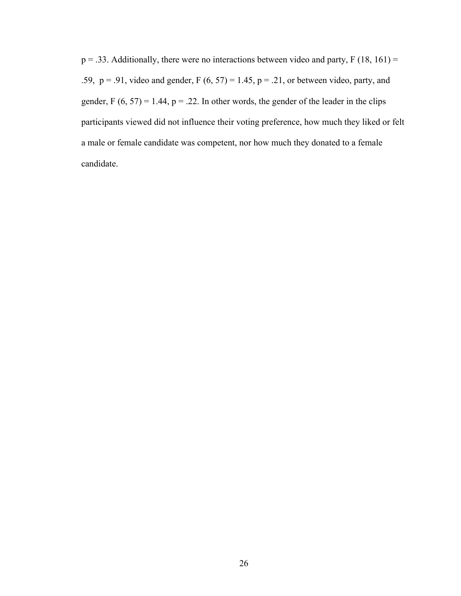$p = .33$ . Additionally, there were no interactions between video and party, F (18, 161) = .59,  $p = .91$ , video and gender,  $F (6, 57) = 1.45$ ,  $p = .21$ , or between video, party, and gender,  $F(6, 57) = 1.44$ ,  $p = .22$ . In other words, the gender of the leader in the clips participants viewed did not influence their voting preference, how much they liked or felt a male or female candidate was competent, nor how much they donated to a female candidate.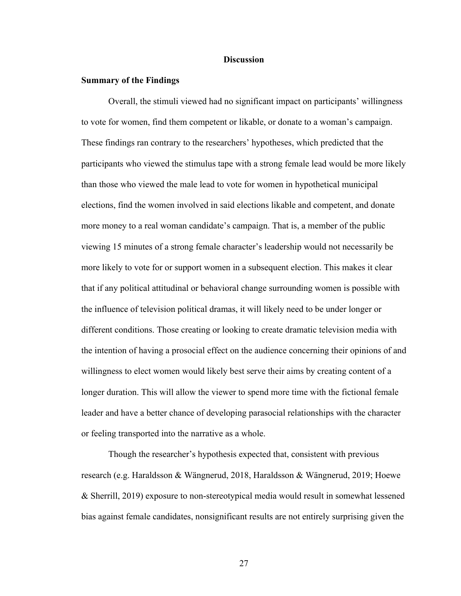#### **Discussion**

#### **Summary of the Findings**

Overall, the stimuli viewed had no significant impact on participants' willingness to vote for women, find them competent or likable, or donate to a woman's campaign. These findings ran contrary to the researchers' hypotheses, which predicted that the participants who viewed the stimulus tape with a strong female lead would be more likely than those who viewed the male lead to vote for women in hypothetical municipal elections, find the women involved in said elections likable and competent, and donate more money to a real woman candidate's campaign. That is, a member of the public viewing 15 minutes of a strong female character's leadership would not necessarily be more likely to vote for or support women in a subsequent election. This makes it clear that if any political attitudinal or behavioral change surrounding women is possible with the influence of television political dramas, it will likely need to be under longer or different conditions. Those creating or looking to create dramatic television media with the intention of having a prosocial effect on the audience concerning their opinions of and willingness to elect women would likely best serve their aims by creating content of a longer duration. This will allow the viewer to spend more time with the fictional female leader and have a better chance of developing parasocial relationships with the character or feeling transported into the narrative as a whole.

Though the researcher's hypothesis expected that, consistent with previous research (e.g. Haraldsson & Wängnerud, 2018, Haraldsson & Wängnerud, 2019; Hoewe & Sherrill, 2019) exposure to non-stereotypical media would result in somewhat lessened bias against female candidates, nonsignificant results are not entirely surprising given the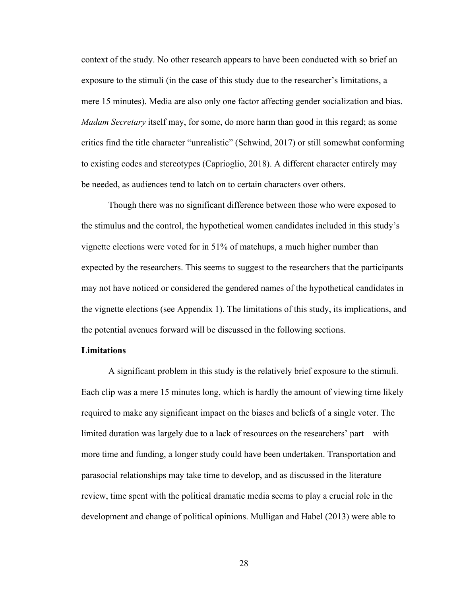context of the study. No other research appears to have been conducted with so brief an exposure to the stimuli (in the case of this study due to the researcher's limitations, a mere 15 minutes). Media are also only one factor affecting gender socialization and bias. *Madam Secretary* itself may, for some, do more harm than good in this regard; as some critics find the title character "unrealistic" (Schwind, 2017) or still somewhat conforming to existing codes and stereotypes (Caprioglio, 2018). A different character entirely may be needed, as audiences tend to latch on to certain characters over others.

Though there was no significant difference between those who were exposed to the stimulus and the control, the hypothetical women candidates included in this study's vignette elections were voted for in 51% of matchups, a much higher number than expected by the researchers. This seems to suggest to the researchers that the participants may not have noticed or considered the gendered names of the hypothetical candidates in the vignette elections (see Appendix 1). The limitations of this study, its implications, and the potential avenues forward will be discussed in the following sections.

#### **Limitations**

A significant problem in this study is the relatively brief exposure to the stimuli. Each clip was a mere 15 minutes long, which is hardly the amount of viewing time likely required to make any significant impact on the biases and beliefs of a single voter. The limited duration was largely due to a lack of resources on the researchers' part—with more time and funding, a longer study could have been undertaken. Transportation and parasocial relationships may take time to develop, and as discussed in the literature review, time spent with the political dramatic media seems to play a crucial role in the development and change of political opinions. Mulligan and Habel (2013) were able to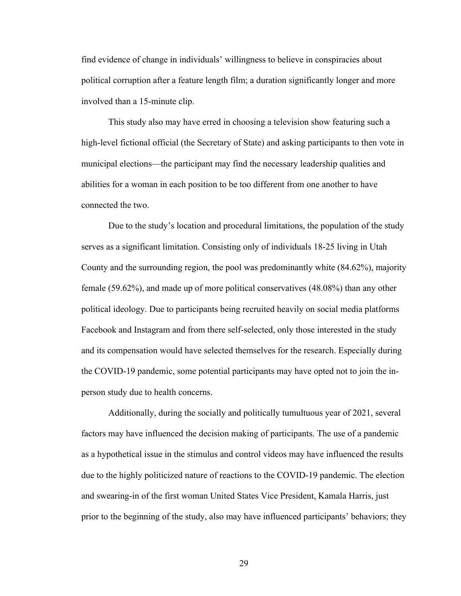find evidence of change in individuals' willingness to believe in conspiracies about political corruption after a feature length film; a duration significantly longer and more involved than a 15-minute clip.

This study also may have erred in choosing a television show featuring such a high-level fictional official (the Secretary of State) and asking participants to then vote in municipal elections—the participant may find the necessary leadership qualities and abilities for a woman in each position to be too different from one another to have connected the two.

Due to the study's location and procedural limitations, the population of the study serves as a significant limitation. Consisting only of individuals 18-25 living in Utah County and the surrounding region, the pool was predominantly white (84.62%), majority female (59.62%), and made up of more political conservatives (48.08%) than any other political ideology. Due to participants being recruited heavily on social media platforms Facebook and Instagram and from there self-selected, only those interested in the study and its compensation would have selected themselves for the research. Especially during the COVID-19 pandemic, some potential participants may have opted not to join the inperson study due to health concerns.

Additionally, during the socially and politically tumultuous year of 2021, several factors may have influenced the decision making of participants. The use of a pandemic as a hypothetical issue in the stimulus and control videos may have influenced the results due to the highly politicized nature of reactions to the COVID-19 pandemic. The election and swearing-in of the first woman United States Vice President, Kamala Harris, just prior to the beginning of the study, also may have influenced participants' behaviors; they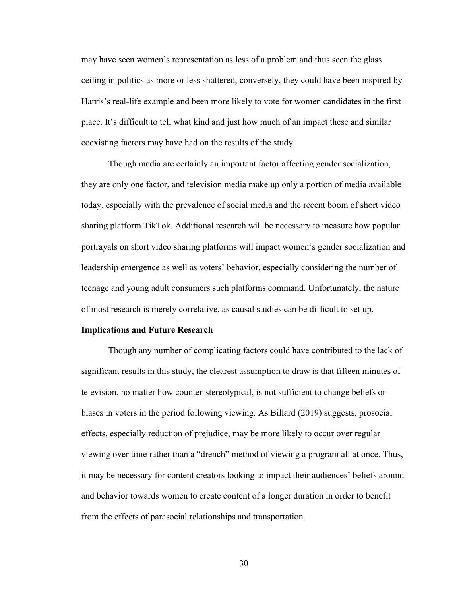may have seen women's representation as less of a problem and thus seen the glass ceiling in politics as more or less shattered, conversely, they could have been inspired by Harris's real-life example and been more likely to vote for women candidates in the first place. It's difficult to tell what kind and just how much of an impact these and similar coexisting factors may have had on the results of the study.

Though media are certainly an important factor affecting gender socialization, they are only one factor, and television media make up only a portion of media available today, especially with the prevalence of social media and the recent boom of short video sharing platform TikTok. Additional research will be necessary to measure how popular portrayals on short video sharing platforms will impact women's gender socialization and leadership emergence as well as voters' behavior, especially considering the number of teenage and young adult consumers such platforms command. Unfortunately, the nature of most research is merely correlative, as causal studies can be difficult to set up.

#### **Implications and Future Research**

Though any number of complicating factors could have contributed to the lack of significant results in this study, the clearest assumption to draw is that fifteen minutes of television, no matter how counter-stereotypical, is not sufficient to change beliefs or biases in voters in the period following viewing. As Billard (2019) suggests, prosocial effects, especially reduction of prejudice, may be more likely to occur over regular viewing over time rather than a "drench" method of viewing a program all at once. Thus, it may be necessary for content creators looking to impact their audiences' beliefs around and behavior towards women to create content of a longer duration in order to benefit from the effects of parasocial relationships and transportation.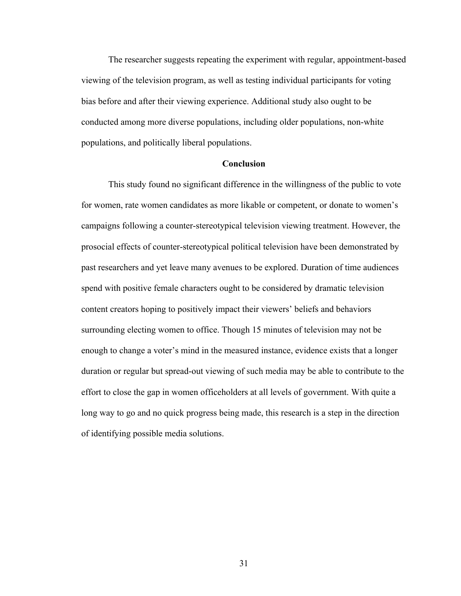The researcher suggests repeating the experiment with regular, appointment-based viewing of the television program, as well as testing individual participants for voting bias before and after their viewing experience. Additional study also ought to be conducted among more diverse populations, including older populations, non-white populations, and politically liberal populations.

#### **Conclusion**

This study found no significant difference in the willingness of the public to vote for women, rate women candidates as more likable or competent, or donate to women's campaigns following a counter-stereotypical television viewing treatment. However, the prosocial effects of counter-stereotypical political television have been demonstrated by past researchers and yet leave many avenues to be explored. Duration of time audiences spend with positive female characters ought to be considered by dramatic television content creators hoping to positively impact their viewers' beliefs and behaviors surrounding electing women to office. Though 15 minutes of television may not be enough to change a voter's mind in the measured instance, evidence exists that a longer duration or regular but spread-out viewing of such media may be able to contribute to the effort to close the gap in women officeholders at all levels of government. With quite a long way to go and no quick progress being made, this research is a step in the direction of identifying possible media solutions.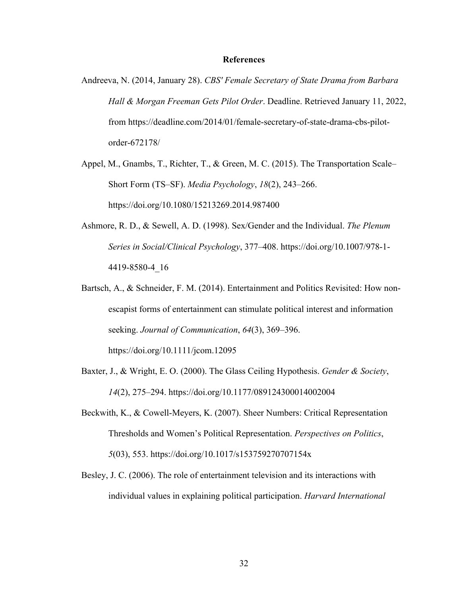#### **References**

- Andreeva, N. (2014, January 28). *CBS' Female Secretary of State Drama from Barbara Hall & Morgan Freeman Gets Pilot Order*. Deadline. Retrieved January 11, 2022, from https://deadline.com/2014/01/female-secretary-of-state-drama-cbs-pilotorder-672178/
- Appel, M., Gnambs, T., Richter, T., & Green, M. C. (2015). The Transportation Scale– Short Form (TS–SF). *Media Psychology*, *18*(2), 243–266. https://doi.org/10.1080/15213269.2014.987400
- Ashmore, R. D., & Sewell, A. D. (1998). Sex/Gender and the Individual. *The Plenum Series in Social/Clinical Psychology*, 377–408. https://doi.org/10.1007/978-1- 4419-8580-4\_16
- Bartsch, A., & Schneider, F. M. (2014). Entertainment and Politics Revisited: How nonescapist forms of entertainment can stimulate political interest and information seeking. *Journal of Communication*, *64*(3), 369–396. https://doi.org/10.1111/jcom.12095
- Baxter, J., & Wright, E. O. (2000). The Glass Ceiling Hypothesis. *Gender & Society*, *14*(2), 275–294. https://doi.org/10.1177/089124300014002004
- Beckwith, K., & Cowell-Meyers, K. (2007). Sheer Numbers: Critical Representation Thresholds and Women's Political Representation. *Perspectives on Politics*, *5*(03), 553. https://doi.org/10.1017/s153759270707154x
- Besley, J. C. (2006). The role of entertainment television and its interactions with individual values in explaining political participation. *Harvard International*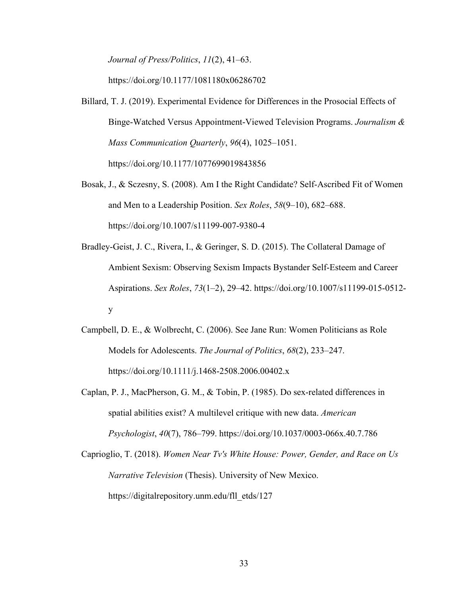*Journal of Press/Politics*, *11*(2), 41–63.

https://doi.org/10.1177/1081180x06286702

- Billard, T. J. (2019). Experimental Evidence for Differences in the Prosocial Effects of Binge-Watched Versus Appointment-Viewed Television Programs. *Journalism & Mass Communication Quarterly*, *96*(4), 1025–1051. https://doi.org/10.1177/1077699019843856
- Bosak, J., & Sczesny, S. (2008). Am I the Right Candidate? Self-Ascribed Fit of Women and Men to a Leadership Position. *Sex Roles*, *58*(9–10), 682–688. https://doi.org/10.1007/s11199-007-9380-4
- Bradley-Geist, J. C., Rivera, I., & Geringer, S. D. (2015). The Collateral Damage of Ambient Sexism: Observing Sexism Impacts Bystander Self-Esteem and Career Aspirations. *Sex Roles*, *73*(1–2), 29–42. https://doi.org/10.1007/s11199-015-0512 y
- Campbell, D. E., & Wolbrecht, C. (2006). See Jane Run: Women Politicians as Role Models for Adolescents. *The Journal of Politics*, *68*(2), 233–247. https://doi.org/10.1111/j.1468-2508.2006.00402.x
- Caplan, P. J., MacPherson, G. M., & Tobin, P. (1985). Do sex-related differences in spatial abilities exist? A multilevel critique with new data. *American Psychologist*, *40*(7), 786–799. https://doi.org/10.1037/0003-066x.40.7.786
- Caprioglio, T. (2018). *Women Near Tv's White House: Power, Gender, and Race on Us Narrative Television* (Thesis). University of New Mexico. https://digitalrepository.unm.edu/fll\_etds/127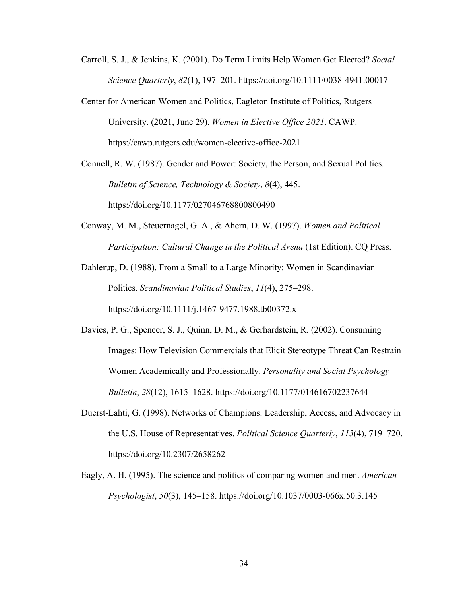- Carroll, S. J., & Jenkins, K. (2001). Do Term Limits Help Women Get Elected? *Social Science Quarterly*, *82*(1), 197–201. https://doi.org/10.1111/0038-4941.00017
- Center for American Women and Politics, Eagleton Institute of Politics, Rutgers University. (2021, June 29). *Women in Elective Office 2021*. CAWP. https://cawp.rutgers.edu/women-elective-office-2021

Connell, R. W. (1987). Gender and Power: Society, the Person, and Sexual Politics. *Bulletin of Science, Technology & Society*, *8*(4), 445. https://doi.org/10.1177/027046768800800490

Conway, M. M., Steuernagel, G. A., & Ahern, D. W. (1997). *Women and Political Participation: Cultural Change in the Political Arena* (1st Edition). CQ Press.

Dahlerup, D. (1988). From a Small to a Large Minority: Women in Scandinavian Politics. *Scandinavian Political Studies*, *11*(4), 275–298. https://doi.org/10.1111/j.1467-9477.1988.tb00372.x

- Davies, P. G., Spencer, S. J., Quinn, D. M., & Gerhardstein, R. (2002). Consuming Images: How Television Commercials that Elicit Stereotype Threat Can Restrain Women Academically and Professionally. *Personality and Social Psychology Bulletin*, *28*(12), 1615–1628. https://doi.org/10.1177/014616702237644
- Duerst-Lahti, G. (1998). Networks of Champions: Leadership, Access, and Advocacy in the U.S. House of Representatives. *Political Science Quarterly*, *113*(4), 719–720. https://doi.org/10.2307/2658262
- Eagly, A. H. (1995). The science and politics of comparing women and men. *American Psychologist*, *50*(3), 145–158. https://doi.org/10.1037/0003-066x.50.3.145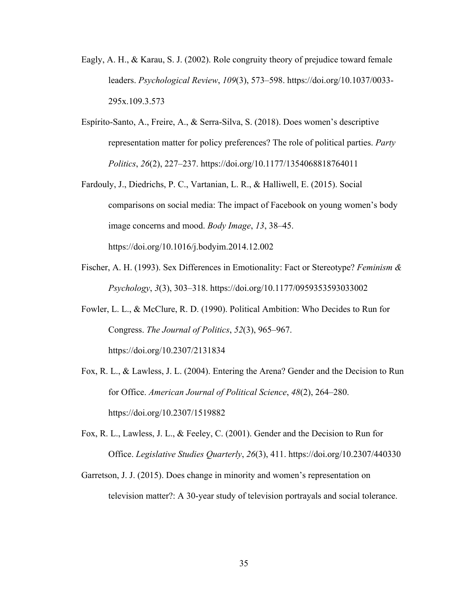- Eagly, A. H., & Karau, S. J. (2002). Role congruity theory of prejudice toward female leaders. *Psychological Review*, *109*(3), 573–598. https://doi.org/10.1037/0033- 295x.109.3.573
- Espírito-Santo, A., Freire, A., & Serra-Silva, S. (2018). Does women's descriptive representation matter for policy preferences? The role of political parties. *Party Politics*, *26*(2), 227–237. https://doi.org/10.1177/1354068818764011
- Fardouly, J., Diedrichs, P. C., Vartanian, L. R., & Halliwell, E. (2015). Social comparisons on social media: The impact of Facebook on young women's body image concerns and mood. *Body Image*, *13*, 38–45. https://doi.org/10.1016/j.bodyim.2014.12.002
- Fischer, A. H. (1993). Sex Differences in Emotionality: Fact or Stereotype? *Feminism & Psychology*, *3*(3), 303–318. https://doi.org/10.1177/0959353593033002
- Fowler, L. L., & McClure, R. D. (1990). Political Ambition: Who Decides to Run for Congress. *The Journal of Politics*, *52*(3), 965–967. https://doi.org/10.2307/2131834
- Fox, R. L., & Lawless, J. L. (2004). Entering the Arena? Gender and the Decision to Run for Office. *American Journal of Political Science*, *48*(2), 264–280. https://doi.org/10.2307/1519882
- Fox, R. L., Lawless, J. L., & Feeley, C. (2001). Gender and the Decision to Run for Office. *Legislative Studies Quarterly*, *26*(3), 411. https://doi.org/10.2307/440330
- Garretson, J. J. (2015). Does change in minority and women's representation on television matter?: A 30-year study of television portrayals and social tolerance.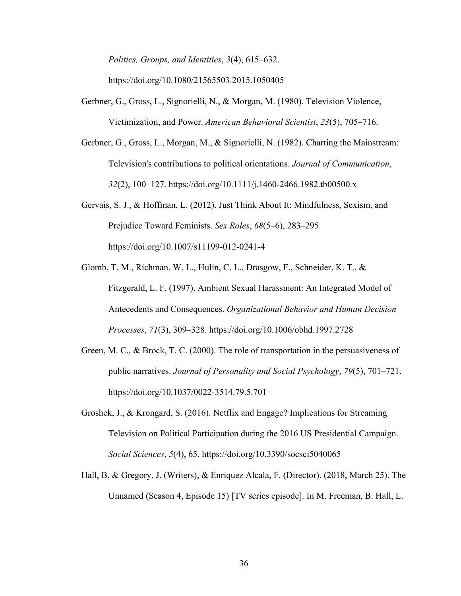*Politics, Groups, and Identities*, *3*(4), 615–632.

https://doi.org/10.1080/21565503.2015.1050405

- Gerbner, G., Gross, L., Signorielli, N., & Morgan, M. (1980). Television Violence, Victimization, and Power. *American Behavioral Scientist*, *23*(5), 705–716.
- Gerbner, G., Gross, L., Morgan, M., & Signorielli, N. (1982). Charting the Mainstream: Television's contributions to political orientations. *Journal of Communication*, *32*(2), 100–127. https://doi.org/10.1111/j.1460-2466.1982.tb00500.x
- Gervais, S. J., & Hoffman, L. (2012). Just Think About It: Mindfulness, Sexism, and Prejudice Toward Feminists. *Sex Roles*, *68*(5–6), 283–295. https://doi.org/10.1007/s11199-012-0241-4
- Glomb, T. M., Richman, W. L., Hulin, C. L., Drasgow, F., Schneider, K. T., & Fitzgerald, L. F. (1997). Ambient Sexual Harassment: An Integrated Model of Antecedents and Consequences. *Organizational Behavior and Human Decision Processes*, *71*(3), 309–328. https://doi.org/10.1006/obhd.1997.2728
- Green, M. C., & Brock, T. C. (2000). The role of transportation in the persuasiveness of public narratives. *Journal of Personality and Social Psychology*, *79*(5), 701–721. https://doi.org/10.1037/0022-3514.79.5.701
- Groshek, J., & Krongard, S. (2016). Netflix and Engage? Implications for Streaming Television on Political Participation during the 2016 US Presidential Campaign. *Social Sciences*, *5*(4), 65. https://doi.org/10.3390/socsci5040065
- Hall, B. & Gregory, J. (Writers), & Enriquez Alcala, F. (Director). (2018, March 25). The Unnamed (Season 4, Episode 15) [TV series episode]. In M. Freeman, B. Hall, L.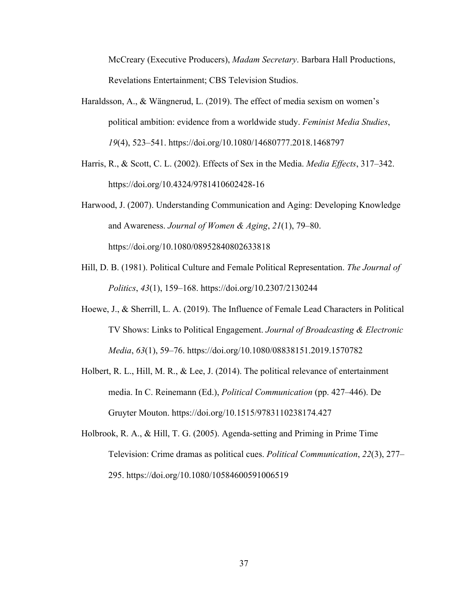McCreary (Executive Producers), *Madam Secretary*. Barbara Hall Productions, Revelations Entertainment; CBS Television Studios.

- Haraldsson, A., & Wängnerud, L. (2019). The effect of media sexism on women's political ambition: evidence from a worldwide study. *Feminist Media Studies*, *19*(4), 523–541. https://doi.org/10.1080/14680777.2018.1468797
- Harris, R., & Scott, C. L. (2002). Effects of Sex in the Media. *Media Effects*, 317–342. https://doi.org/10.4324/9781410602428-16
- Harwood, J. (2007). Understanding Communication and Aging: Developing Knowledge and Awareness. *Journal of Women & Aging*, *21*(1), 79–80. https://doi.org/10.1080/08952840802633818
- Hill, D. B. (1981). Political Culture and Female Political Representation. *The Journal of Politics*, *43*(1), 159–168. https://doi.org/10.2307/2130244
- Hoewe, J., & Sherrill, L. A. (2019). The Influence of Female Lead Characters in Political TV Shows: Links to Political Engagement. *Journal of Broadcasting & Electronic Media*, *63*(1), 59–76. https://doi.org/10.1080/08838151.2019.1570782
- Holbert, R. L., Hill, M. R., & Lee, J. (2014). The political relevance of entertainment media. In C. Reinemann (Ed.), *Political Communication* (pp. 427–446). De Gruyter Mouton. https://doi.org/10.1515/9783110238174.427
- Holbrook, R. A., & Hill, T. G. (2005). Agenda-setting and Priming in Prime Time Television: Crime dramas as political cues. *Political Communication*, *22*(3), 277– 295. https://doi.org/10.1080/10584600591006519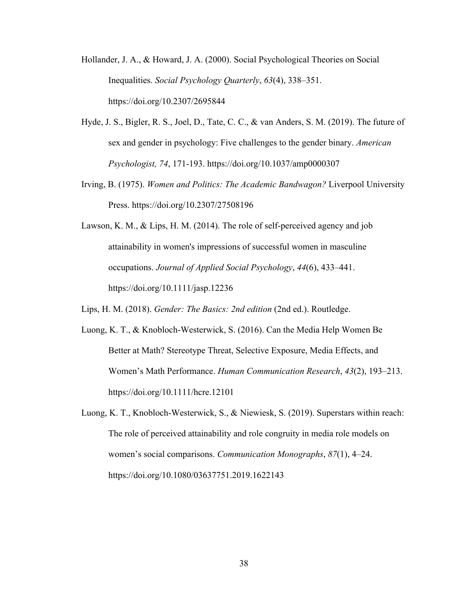- Hollander, J. A., & Howard, J. A. (2000). Social Psychological Theories on Social Inequalities. *Social Psychology Quarterly*, *63*(4), 338–351. https://doi.org/10.2307/2695844
- Hyde, J. S., Bigler, R. S., Joel, D., Tate, C. C., & van Anders, S. M. (2019). The future of sex and gender in psychology: Five challenges to the gender binary. *American Psychologist, 74*, 171-193. https://doi.org/10.1037/amp0000307
- Irving, B. (1975). *Women and Politics: The Academic Bandwagon?* Liverpool University Press. https://doi.org/10.2307/27508196
- Lawson, K. M., & Lips, H. M. (2014). The role of self-perceived agency and job attainability in women's impressions of successful women in masculine occupations. *Journal of Applied Social Psychology*, *44*(6), 433–441. https://doi.org/10.1111/jasp.12236
- Lips, H. M. (2018). *Gender: The Basics: 2nd edition* (2nd ed.). Routledge.
- Luong, K. T., & Knobloch-Westerwick, S. (2016). Can the Media Help Women Be Better at Math? Stereotype Threat, Selective Exposure, Media Effects, and Women's Math Performance. *Human Communication Research*, *43*(2), 193–213. https://doi.org/10.1111/hcre.12101
- Luong, K. T., Knobloch-Westerwick, S., & Niewiesk, S. (2019). Superstars within reach: The role of perceived attainability and role congruity in media role models on women's social comparisons. *Communication Monographs*, *87*(1), 4–24. https://doi.org/10.1080/03637751.2019.1622143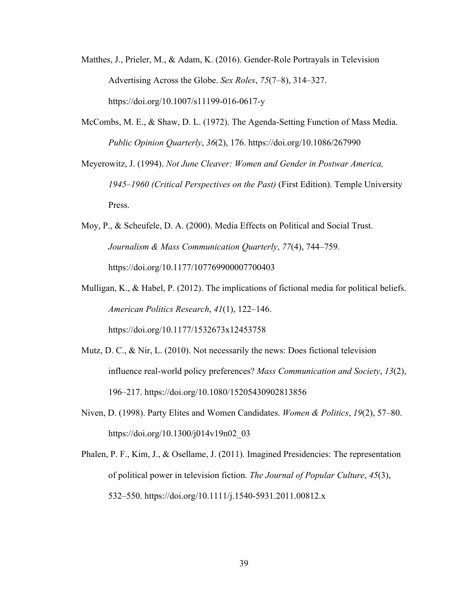- Matthes, J., Prieler, M., & Adam, K. (2016). Gender-Role Portrayals in Television Advertising Across the Globe. *Sex Roles*, *75*(7–8), 314–327. https://doi.org/10.1007/s11199-016-0617-y
- McCombs, M. E., & Shaw, D. L. (1972). The Agenda-Setting Function of Mass Media. *Public Opinion Quarterly*, *36*(2), 176. https://doi.org/10.1086/267990

Meyerowitz, J. (1994). *Not June Cleaver: Women and Gender in Postwar America, 1945–1960 (Critical Perspectives on the Past)* (First Edition). Temple University Press.

- Moy, P., & Scheufele, D. A. (2000). Media Effects on Political and Social Trust. *Journalism & Mass Communication Quarterly*, *77*(4), 744–759. https://doi.org/10.1177/107769900007700403
- Mulligan, K., & Habel, P. (2012). The implications of fictional media for political beliefs. *American Politics Research*, *41*(1), 122–146. https://doi.org/10.1177/1532673x12453758
- Mutz, D. C., & Nir, L. (2010). Not necessarily the news: Does fictional television influence real-world policy preferences? *Mass Communication and Society*, *13*(2), 196–217. https://doi.org/10.1080/15205430902813856
- Niven, D. (1998). Party Elites and Women Candidates. *Women & Politics*, *19*(2), 57–80. https://doi.org/10.1300/j014v19n02\_03
- Phalen, P. F., Kim, J., & Osellame, J. (2011). Imagined Presidencies: The representation of political power in television fiction. *The Journal of Popular Culture*, *45*(3), 532–550. https://doi.org/10.1111/j.1540-5931.2011.00812.x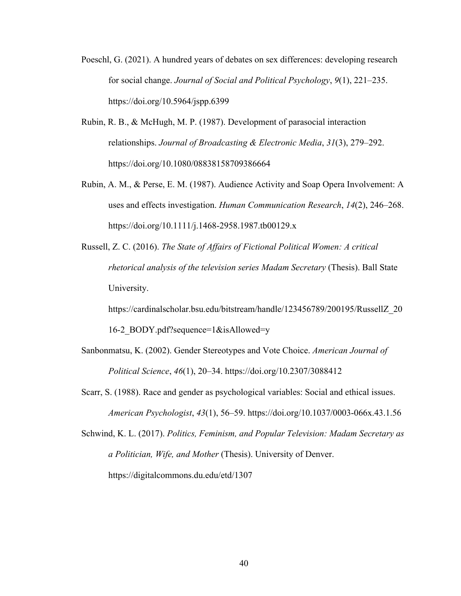- Poeschl, G. (2021). A hundred years of debates on sex differences: developing research for social change. *Journal of Social and Political Psychology*, *9*(1), 221–235. https://doi.org/10.5964/jspp.6399
- Rubin, R. B., & McHugh, M. P. (1987). Development of parasocial interaction relationships. *Journal of Broadcasting & Electronic Media*, *31*(3), 279–292. https://doi.org/10.1080/08838158709386664
- Rubin, A. M., & Perse, E. M. (1987). Audience Activity and Soap Opera Involvement: A uses and effects investigation. *Human Communication Research*, *14*(2), 246–268. https://doi.org/10.1111/j.1468-2958.1987.tb00129.x
- Russell, Z. C. (2016). *The State of Affairs of Fictional Political Women: A critical rhetorical analysis of the television series Madam Secretary* (Thesis). Ball State University.

https://cardinalscholar.bsu.edu/bitstream/handle/123456789/200195/RussellZ\_20

16-2\_BODY.pdf?sequence=1&isAllowed=y

- Sanbonmatsu, K. (2002). Gender Stereotypes and Vote Choice. *American Journal of Political Science*, *46*(1), 20–34. https://doi.org/10.2307/3088412
- Scarr, S. (1988). Race and gender as psychological variables: Social and ethical issues. *American Psychologist*, *43*(1), 56–59. https://doi.org/10.1037/0003-066x.43.1.56
- Schwind, K. L. (2017). *Politics, Feminism, and Popular Television: Madam Secretary as a Politician, Wife, and Mother* (Thesis). University of Denver. https://digitalcommons.du.edu/etd/1307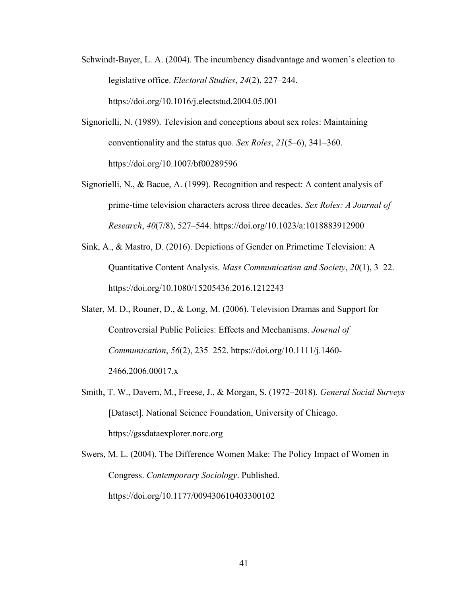- Schwindt-Bayer, L. A. (2004). The incumbency disadvantage and women's election to legislative office. *Electoral Studies*, *24*(2), 227–244. https://doi.org/10.1016/j.electstud.2004.05.001
- Signorielli, N. (1989). Television and conceptions about sex roles: Maintaining conventionality and the status quo. *Sex Roles*, *21*(5–6), 341–360. https://doi.org/10.1007/bf00289596
- Signorielli, N., & Bacue, A. (1999). Recognition and respect: A content analysis of prime-time television characters across three decades. *Sex Roles: A Journal of Research*, *40*(7/8), 527–544. https://doi.org/10.1023/a:1018883912900
- Sink, A., & Mastro, D. (2016). Depictions of Gender on Primetime Television: A Quantitative Content Analysis. *Mass Communication and Society*, *20*(1), 3–22. https://doi.org/10.1080/15205436.2016.1212243
- Slater, M. D., Rouner, D., & Long, M. (2006). Television Dramas and Support for Controversial Public Policies: Effects and Mechanisms. *Journal of Communication*, *56*(2), 235–252. https://doi.org/10.1111/j.1460- 2466.2006.00017.x
- Smith, T. W., Davern, M., Freese, J., & Morgan, S. (1972–2018). *General Social Surveys* [Dataset]. National Science Foundation, University of Chicago. https://gssdataexplorer.norc.org
- Swers, M. L. (2004). The Difference Women Make: The Policy Impact of Women in Congress. *Contemporary Sociology*. Published. https://doi.org/10.1177/009430610403300102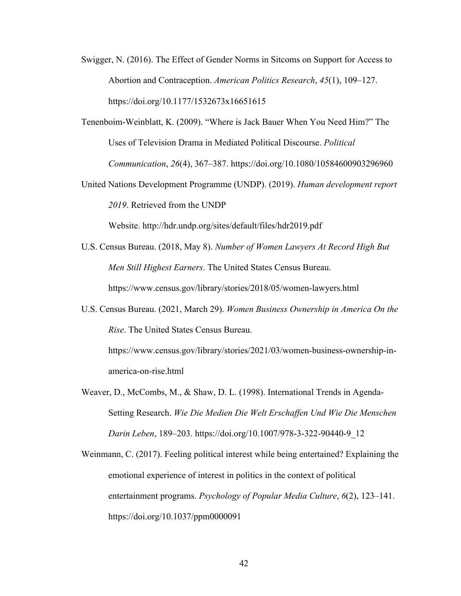- Swigger, N. (2016). The Effect of Gender Norms in Sitcoms on Support for Access to Abortion and Contraception. *American Politics Research*, *45*(1), 109–127. https://doi.org/10.1177/1532673x16651615
- Tenenboim-Weinblatt, K. (2009). "Where is Jack Bauer When You Need Him?" The Uses of Television Drama in Mediated Political Discourse. *Political Communication*, *26*(4), 367–387. https://doi.org/10.1080/10584600903296960
- United Nations Development Programme (UNDP). (2019). *Human development report 2019*. Retrieved from the UNDP

Website. http://hdr.undp.org/sites/default/files/hdr2019.pdf

- U.S. Census Bureau. (2018, May 8). *Number of Women Lawyers At Record High But Men Still Highest Earners*. The United States Census Bureau. https://www.census.gov/library/stories/2018/05/women-lawyers.html
- U.S. Census Bureau. (2021, March 29). *Women Business Ownership in America On the Rise*. The United States Census Bureau. https://www.census.gov/library/stories/2021/03/women-business-ownership-in-

america-on-rise.html

Weaver, D., McCombs, M., & Shaw, D. L. (1998). International Trends in Agenda-Setting Research. *Wie Die Medien Die Welt Erschaffen Und Wie Die Menschen Darin Leben*, 189–203. https://doi.org/10.1007/978-3-322-90440-9\_12

Weinmann, C. (2017). Feeling political interest while being entertained? Explaining the emotional experience of interest in politics in the context of political entertainment programs. *Psychology of Popular Media Culture*, *6*(2), 123–141. https://doi.org/10.1037/ppm0000091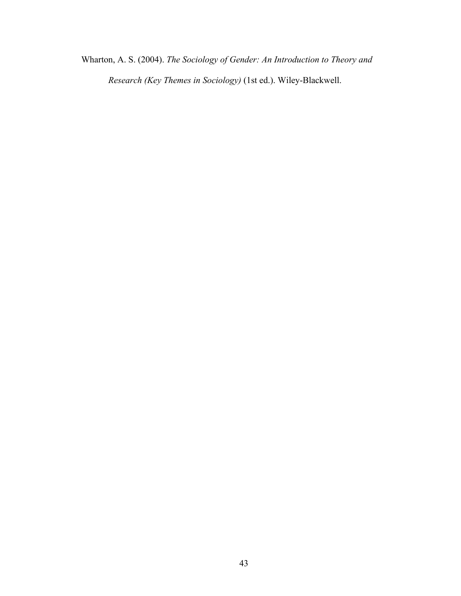Wharton, A. S. (2004). *The Sociology of Gender: An Introduction to Theory and* 

*Research (Key Themes in Sociology)* (1st ed.). Wiley-Blackwell.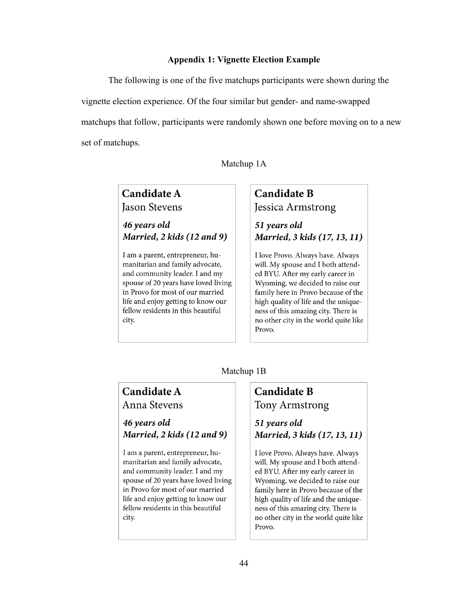#### **Appendix 1: Vignette Election Example**

The following is one of the five matchups participants were shown during the vignette election experience. Of the four similar but gender- and name-swapped matchups that follow, participants were randomly shown one before moving on to a new set of matchups.

Matchup 1A

## **Candidate A Jason Stevens**

46 years old Married, 2 kids (12 and 9)

I am a parent, entrepreneur, humanitarian and family advocate, and community leader. I and my spouse of 20 years have loved living in Provo for most of our married life and enjoy getting to know our fellow residents in this beautiful city.

## **Candidate B** Jessica Armstrong

51 years old Married, 3 kids (17, 13, 11)

I love Provo. Always have. Always will. My spouse and I both attended BYU. After my early career in Wyoming, we decided to raise our family here in Provo because of the high quality of life and the uniqueness of this amazing city. There is no other city in the world quite like Provo.

### Matchup 1B

### Candidate A Anna Stevens

46 years old Married, 2 kids (12 and 9)

I am a parent, entrepreneur, humanitarian and family advocate, and community leader. I and my spouse of 20 years have loved living in Provo for most of our married life and enjoy getting to know our fellow residents in this beautiful city.

## **Candidate B Tony Armstrong**

51 years old Married, 3 kids (17, 13, 11)

I love Provo. Always have. Always will. My spouse and I both attended BYU. After my early career in Wyoming, we decided to raise our family here in Provo because of the high quality of life and the uniqueness of this amazing city. There is no other city in the world quite like Provo.